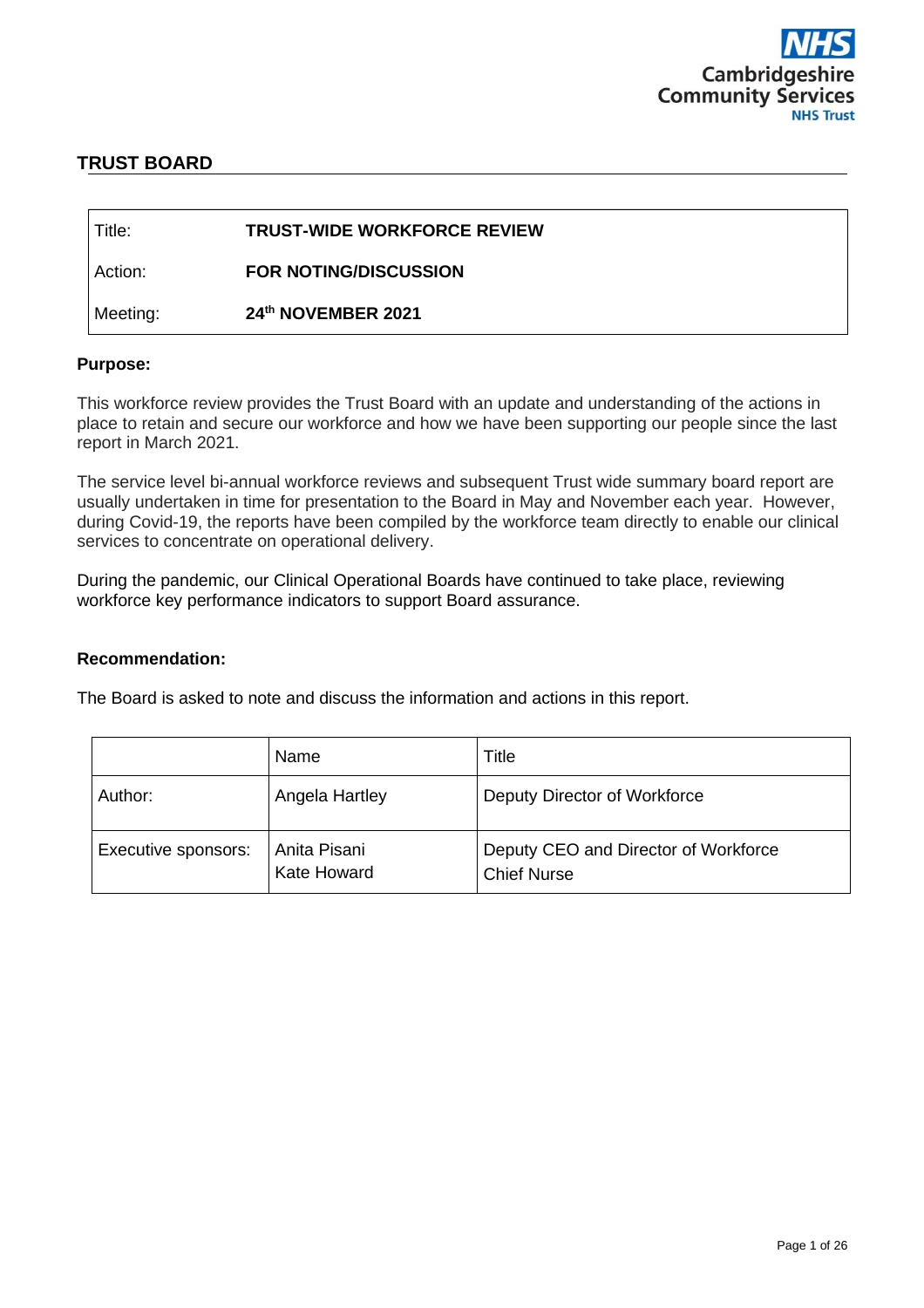

# **TRUST BOARD**

| Title:   | <b>TRUST-WIDE WORKFORCE REVIEW</b> |
|----------|------------------------------------|
| Action:  | <b>FOR NOTING/DISCUSSION</b>       |
| Meeting: | 24th NOVEMBER 2021                 |

#### **Purpose:**

This workforce review provides the Trust Board with an update and understanding of the actions in place to retain and secure our workforce and how we have been supporting our people since the last report in March 2021.

The service level bi-annual workforce reviews and subsequent Trust wide summary board report are usually undertaken in time for presentation to the Board in May and November each year. However, during Covid-19, the reports have been compiled by the workforce team directly to enable our clinical services to concentrate on operational delivery.

During the pandemic, our Clinical Operational Boards have continued to take place, reviewing workforce key performance indicators to support Board assurance.

#### **Recommendation:**

The Board is asked to note and discuss the information and actions in this report.

|                     | Name                        | Title                                                      |
|---------------------|-----------------------------|------------------------------------------------------------|
| Author:             | Angela Hartley              | Deputy Director of Workforce                               |
| Executive sponsors: | Anita Pisani<br>Kate Howard | Deputy CEO and Director of Workforce<br><b>Chief Nurse</b> |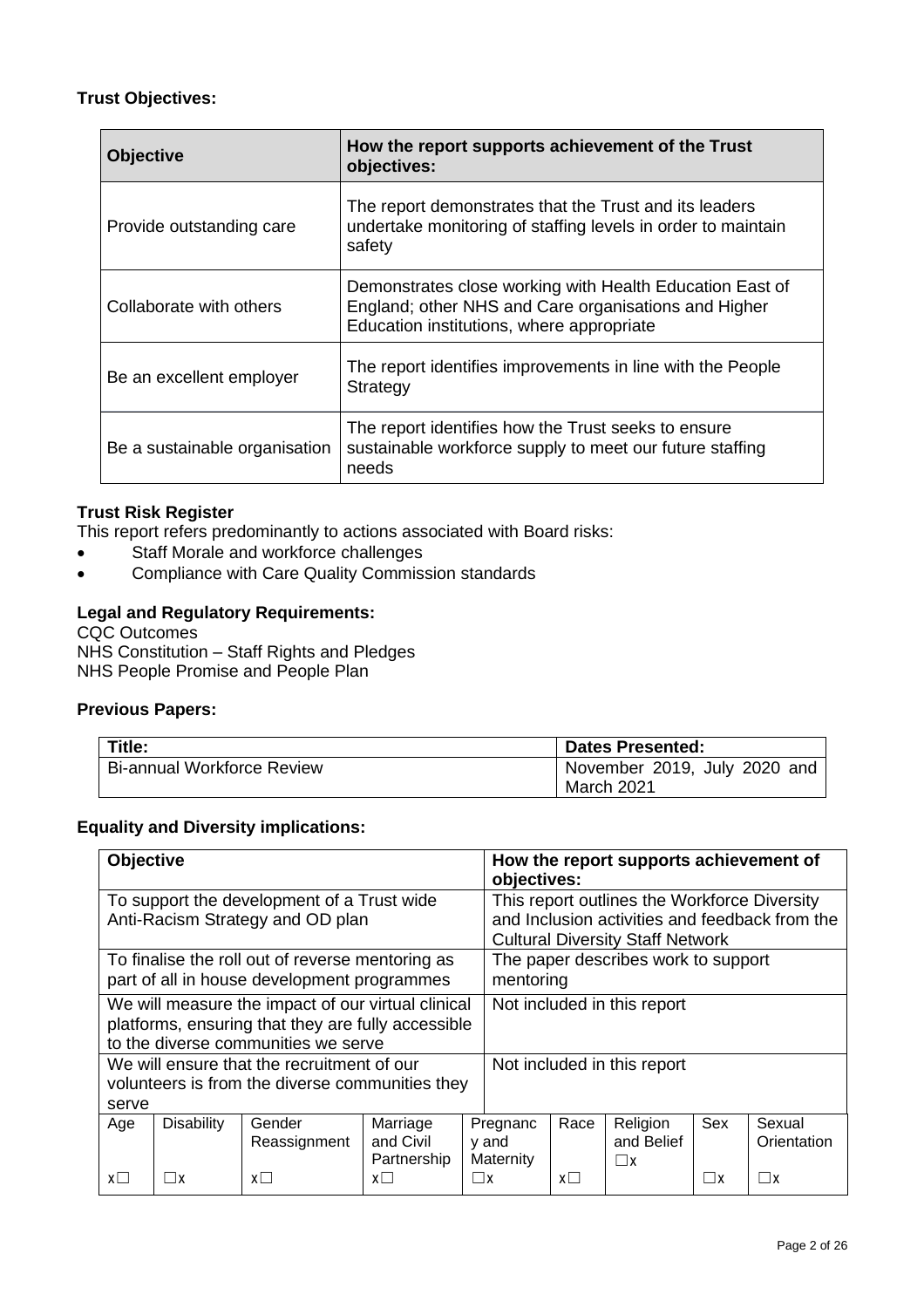# **Trust Objectives:**

| <b>Objective</b>              | How the report supports achievement of the Trust<br>objectives:                                                                                               |  |  |
|-------------------------------|---------------------------------------------------------------------------------------------------------------------------------------------------------------|--|--|
| Provide outstanding care      | The report demonstrates that the Trust and its leaders<br>undertake monitoring of staffing levels in order to maintain<br>safety                              |  |  |
| Collaborate with others       | Demonstrates close working with Health Education East of<br>England; other NHS and Care organisations and Higher<br>Education institutions, where appropriate |  |  |
| Be an excellent employer      | The report identifies improvements in line with the People<br>Strategy                                                                                        |  |  |
| Be a sustainable organisation | The report identifies how the Trust seeks to ensure<br>sustainable workforce supply to meet our future staffing<br>needs                                      |  |  |

### **Trust Risk Register**

This report refers predominantly to actions associated with Board risks:

- Staff Morale and workforce challenges
- Compliance with Care Quality Commission standards

### **Legal and Regulatory Requirements:**

CQC Outcomes NHS Constitution – Staff Rights and Pledges NHS People Promise and People Plan

### **Previous Papers:**

| Title:                            | <b>Dates Presented:</b>                    |  |  |
|-----------------------------------|--------------------------------------------|--|--|
| <b>Bi-annual Workforce Review</b> | November 2019, July 2020 and<br>March 2021 |  |  |

# **Equality and Diversity implications:**

| <b>Objective</b>                                                                                                                                |                   |                        | How the report supports achievement of<br>objectives: |                                                                                                                                           |                                |            |                                    |          |                       |
|-------------------------------------------------------------------------------------------------------------------------------------------------|-------------------|------------------------|-------------------------------------------------------|-------------------------------------------------------------------------------------------------------------------------------------------|--------------------------------|------------|------------------------------------|----------|-----------------------|
| To support the development of a Trust wide<br>Anti-Racism Strategy and OD plan                                                                  |                   |                        |                                                       | This report outlines the Workforce Diversity<br>and Inclusion activities and feedback from the<br><b>Cultural Diversity Staff Network</b> |                                |            |                                    |          |                       |
| To finalise the roll out of reverse mentoring as<br>part of all in house development programmes                                                 |                   |                        |                                                       | The paper describes work to support<br>mentoring                                                                                          |                                |            |                                    |          |                       |
| We will measure the impact of our virtual clinical<br>platforms, ensuring that they are fully accessible<br>to the diverse communities we serve |                   |                        |                                                       | Not included in this report                                                                                                               |                                |            |                                    |          |                       |
| We will ensure that the recruitment of our<br>volunteers is from the diverse communities they<br>serve                                          |                   |                        |                                                       | Not included in this report                                                                                                               |                                |            |                                    |          |                       |
| Age                                                                                                                                             | <b>Disability</b> | Gender<br>Reassignment | Marriage<br>and Civil<br>Partnership                  |                                                                                                                                           | Pregnanc<br>y and<br>Maternity | Race       | Religion<br>and Belief<br>$\Box$ x | Sex      | Sexual<br>Orientation |
| $x\square$                                                                                                                                      |                   | $x \Box$               | $x\Box$                                               | $\Box$ x                                                                                                                                  |                                | $x\square$ |                                    | $\Box$ x | $\Box$ x              |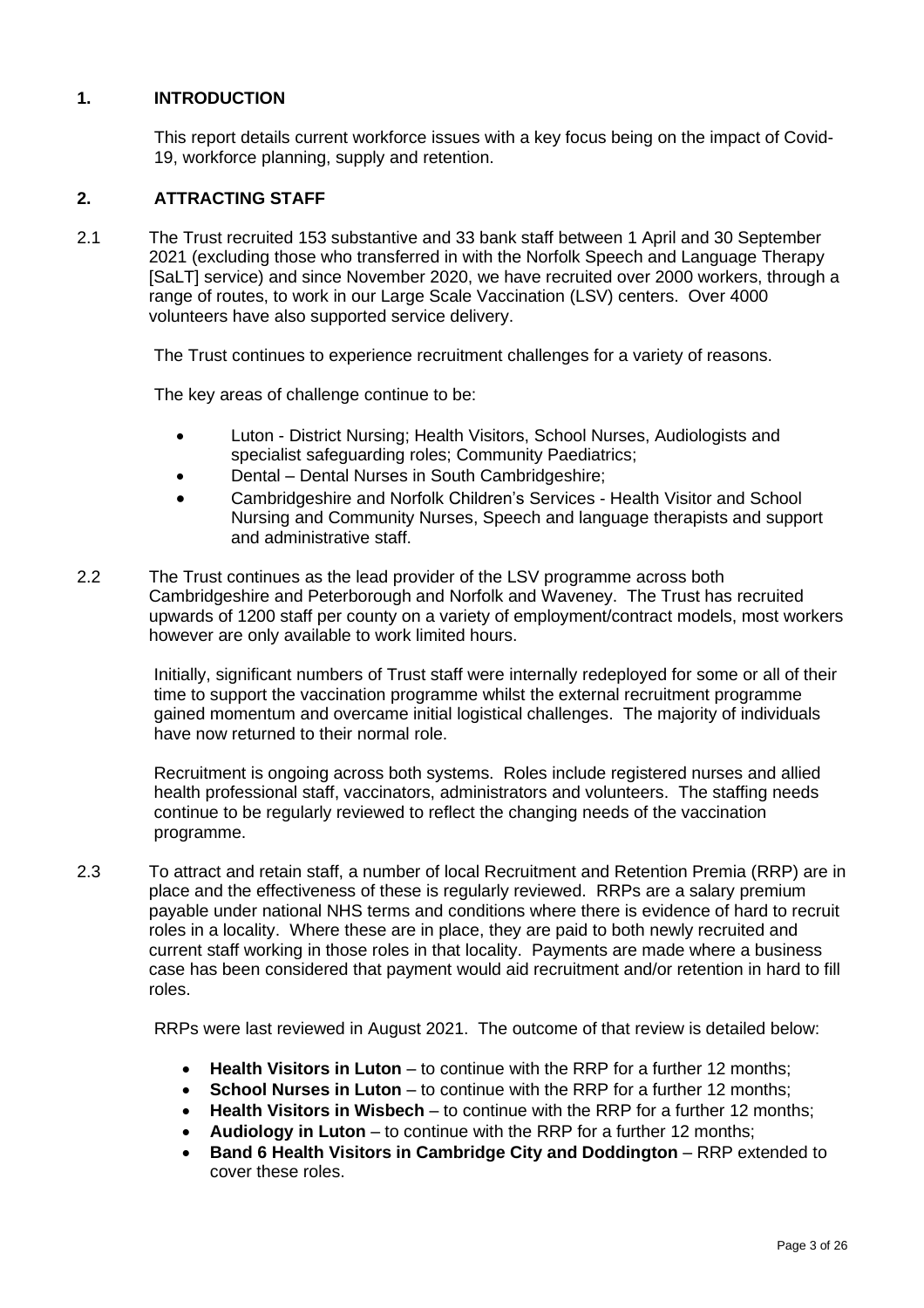## **1. INTRODUCTION**

This report details current workforce issues with a key focus being on the impact of Covid-19, workforce planning, supply and retention.

## **2. ATTRACTING STAFF**

2.1 The Trust recruited 153 substantive and 33 bank staff between 1 April and 30 September 2021 (excluding those who transferred in with the Norfolk Speech and Language Therapy [SaLT] service) and since November 2020, we have recruited over 2000 workers, through a range of routes, to work in our Large Scale Vaccination (LSV) centers. Over 4000 volunteers have also supported service delivery.

The Trust continues to experience recruitment challenges for a variety of reasons.

The key areas of challenge continue to be:

- Luton District Nursing; Health Visitors, School Nurses, Audiologists and specialist safeguarding roles; Community Paediatrics;
- Dental Dental Nurses in South Cambridgeshire;
- Cambridgeshire and Norfolk Children's Services Health Visitor and School Nursing and Community Nurses, Speech and language therapists and support and administrative staff.
- 2.2 The Trust continues as the lead provider of the LSV programme across both Cambridgeshire and Peterborough and Norfolk and Waveney. The Trust has recruited upwards of 1200 staff per county on a variety of employment/contract models, most workers however are only available to work limited hours.

Initially, significant numbers of Trust staff were internally redeployed for some or all of their time to support the vaccination programme whilst the external recruitment programme gained momentum and overcame initial logistical challenges. The majority of individuals have now returned to their normal role.

Recruitment is ongoing across both systems. Roles include registered nurses and allied health professional staff, vaccinators, administrators and volunteers. The staffing needs continue to be regularly reviewed to reflect the changing needs of the vaccination programme.

2.3 To attract and retain staff, a number of local Recruitment and Retention Premia (RRP) are in place and the effectiveness of these is regularly reviewed. RRPs are a salary premium payable under national NHS terms and conditions where there is evidence of hard to recruit roles in a locality. Where these are in place, they are paid to both newly recruited and current staff working in those roles in that locality. Payments are made where a business case has been considered that payment would aid recruitment and/or retention in hard to fill roles.

RRPs were last reviewed in August 2021. The outcome of that review is detailed below:

- **Health Visitors in Luton** to continue with the RRP for a further 12 months;
- **School Nurses in Luton** to continue with the RRP for a further 12 months;
- **Health Visitors in Wisbech** to continue with the RRP for a further 12 months;
- **Audiology in Luton** to continue with the RRP for a further 12 months;
- **Band 6 Health Visitors in Cambridge City and Doddington** RRP extended to cover these roles.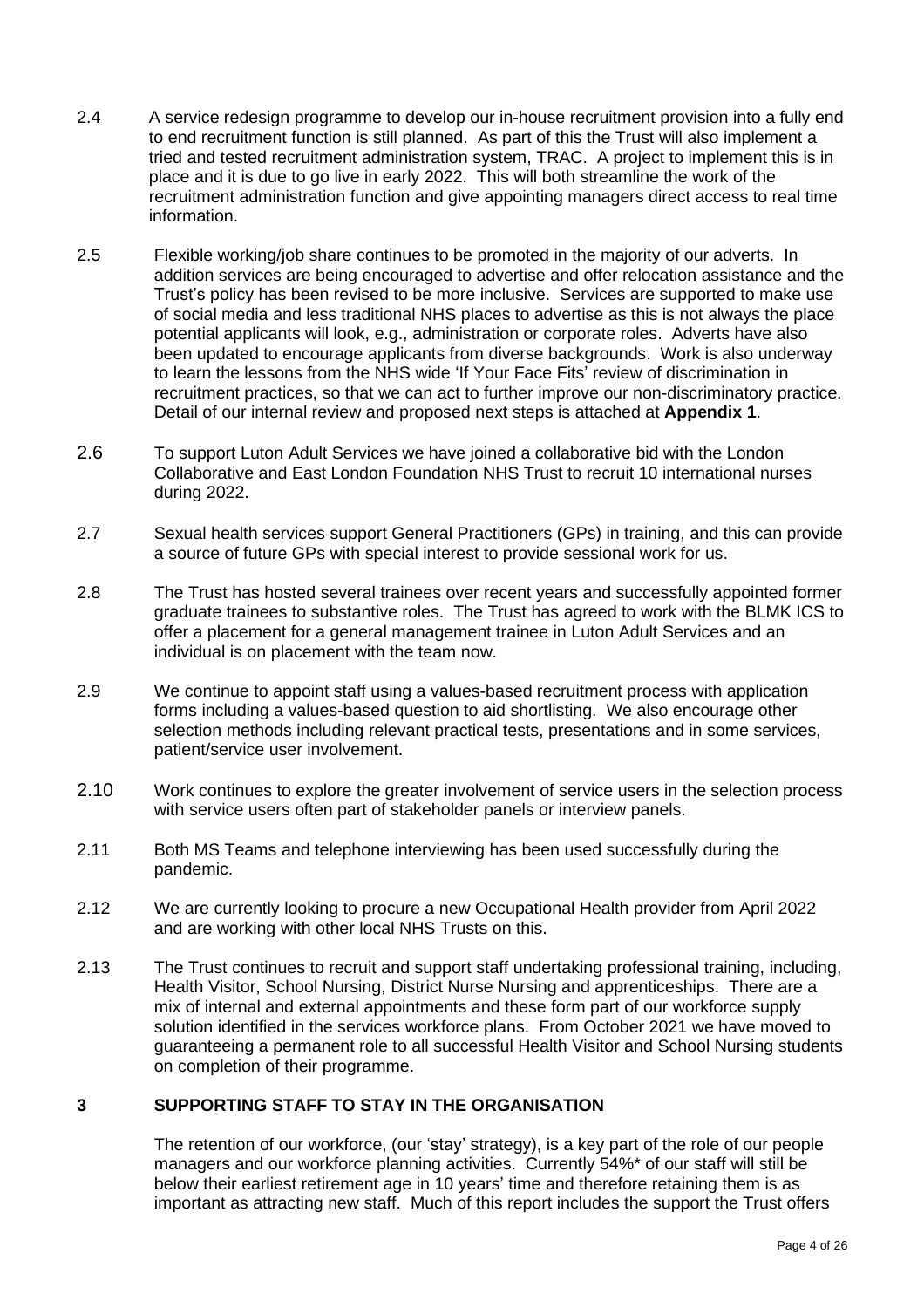- 2.4 A service redesign programme to develop our in-house recruitment provision into a fully end to end recruitment function is still planned. As part of this the Trust will also implement a tried and tested recruitment administration system, TRAC. A project to implement this is in place and it is due to go live in early 2022. This will both streamline the work of the recruitment administration function and give appointing managers direct access to real time information.
- 2.5 Flexible working/job share continues to be promoted in the majority of our adverts. In addition services are being encouraged to advertise and offer relocation assistance and the Trust's policy has been revised to be more inclusive. Services are supported to make use of social media and less traditional NHS places to advertise as this is not always the place potential applicants will look, e.g., administration or corporate roles. Adverts have also been updated to encourage applicants from diverse backgrounds. Work is also underway to learn the lessons from the NHS wide 'If Your Face Fits' review of discrimination in recruitment practices, so that we can act to further improve our non-discriminatory practice. Detail of our internal review and proposed next steps is attached at **Appendix 1**.
- 2.6 To support Luton Adult Services we have joined a collaborative bid with the London Collaborative and East London Foundation NHS Trust to recruit 10 international nurses during 2022.
- 2.7 Sexual health services support General Practitioners (GPs) in training, and this can provide a source of future GPs with special interest to provide sessional work for us.
- 2.8 The Trust has hosted several trainees over recent years and successfully appointed former graduate trainees to substantive roles. The Trust has agreed to work with the BLMK ICS to offer a placement for a general management trainee in Luton Adult Services and an individual is on placement with the team now.
- 2.9 We continue to appoint staff using a values-based recruitment process with application forms including a values-based question to aid shortlisting. We also encourage other selection methods including relevant practical tests, presentations and in some services, patient/service user involvement.
- 2.10 Work continues to explore the greater involvement of service users in the selection process with service users often part of stakeholder panels or interview panels.
- 2.11 Both MS Teams and telephone interviewing has been used successfully during the pandemic.
- 2.12 We are currently looking to procure a new Occupational Health provider from April 2022 and are working with other local NHS Trusts on this.
- 2.13 The Trust continues to recruit and support staff undertaking professional training, including, Health Visitor, School Nursing, District Nurse Nursing and apprenticeships. There are a mix of internal and external appointments and these form part of our workforce supply solution identified in the services workforce plans. From October 2021 we have moved to guaranteeing a permanent role to all successful Health Visitor and School Nursing students on completion of their programme.

## **3 SUPPORTING STAFF TO STAY IN THE ORGANISATION**

The retention of our workforce, (our 'stay' strategy), is a key part of the role of our people managers and our workforce planning activities. Currently 54%\* of our staff will still be below their earliest retirement age in 10 years' time and therefore retaining them is as important as attracting new staff. Much of this report includes the support the Trust offers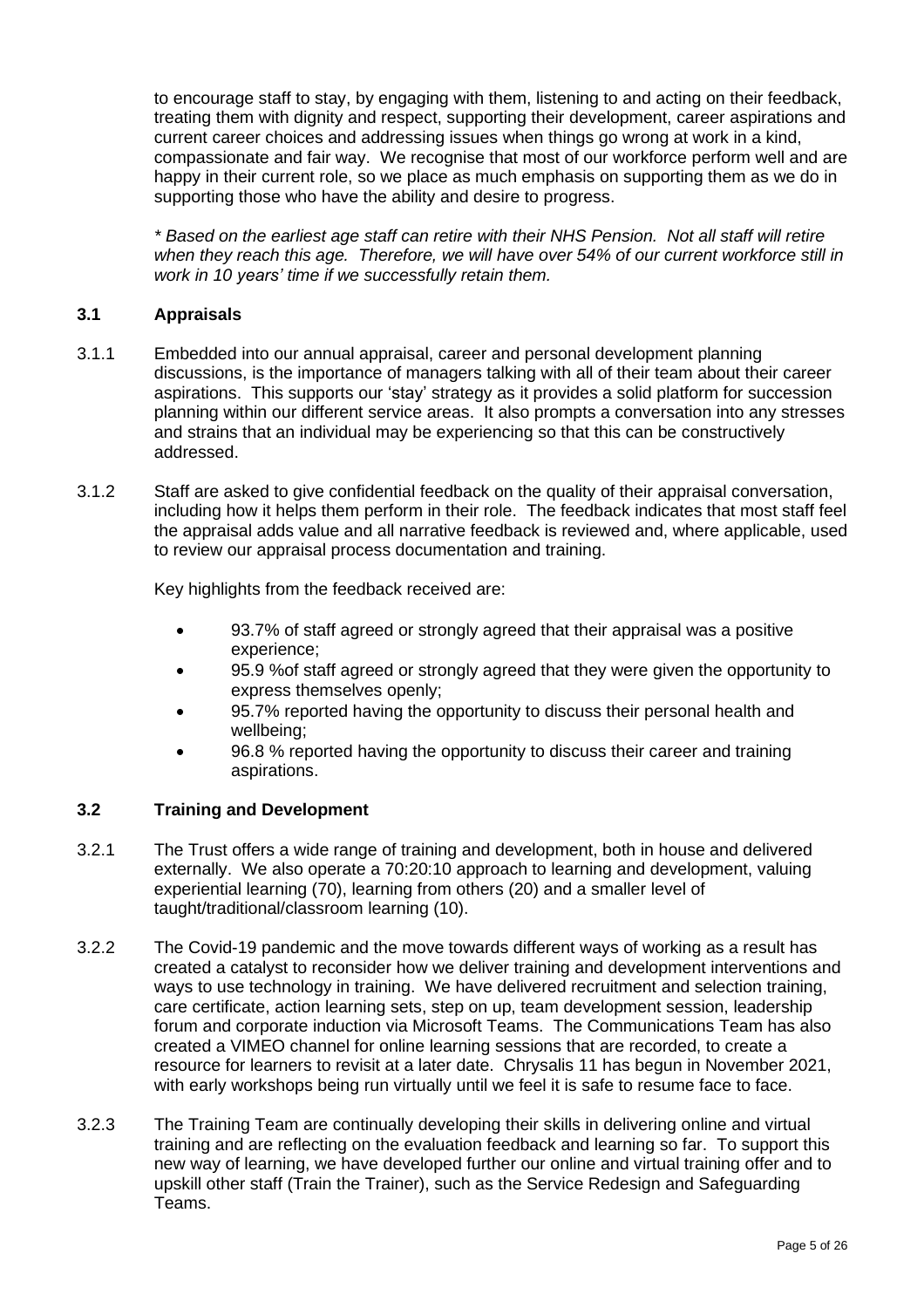to encourage staff to stay, by engaging with them, listening to and acting on their feedback, treating them with dignity and respect, supporting their development, career aspirations and current career choices and addressing issues when things go wrong at work in a kind, compassionate and fair way. We recognise that most of our workforce perform well and are happy in their current role, so we place as much emphasis on supporting them as we do in supporting those who have the ability and desire to progress.

*\* Based on the earliest age staff can retire with their NHS Pension. Not all staff will retire when they reach this age. Therefore, we will have over 54% of our current workforce still in work in 10 years' time if we successfully retain them.*

## **3.1 Appraisals**

- 3.1.1 Embedded into our annual appraisal, career and personal development planning discussions, is the importance of managers talking with all of their team about their career aspirations. This supports our 'stay' strategy as it provides a solid platform for succession planning within our different service areas. It also prompts a conversation into any stresses and strains that an individual may be experiencing so that this can be constructively addressed.
- 3.1.2 Staff are asked to give confidential feedback on the quality of their appraisal conversation, including how it helps them perform in their role. The feedback indicates that most staff feel the appraisal adds value and all narrative feedback is reviewed and, where applicable, used to review our appraisal process documentation and training.

Key highlights from the feedback received are:

- 93.7% of staff agreed or strongly agreed that their appraisal was a positive experience;
- 95.9 %of staff agreed or strongly agreed that they were given the opportunity to express themselves openly;
- 95.7% reported having the opportunity to discuss their personal health and wellbeing;
- 96.8 % reported having the opportunity to discuss their career and training aspirations.

### **3.2 Training and Development**

- 3.2.1 The Trust offers a wide range of training and development, both in house and delivered externally. We also operate a 70:20:10 approach to learning and development, valuing experiential learning (70), learning from others (20) and a smaller level of taught/traditional/classroom learning (10).
- 3.2.2 The Covid-19 pandemic and the move towards different ways of working as a result has created a catalyst to reconsider how we deliver training and development interventions and ways to use technology in training. We have delivered recruitment and selection training, care certificate, action learning sets, step on up, team development session, leadership forum and corporate induction via Microsoft Teams. The Communications Team has also created a VIMEO channel for online learning sessions that are recorded, to create a resource for learners to revisit at a later date. Chrysalis 11 has begun in November 2021, with early workshops being run virtually until we feel it is safe to resume face to face.
- 3.2.3 The Training Team are continually developing their skills in delivering online and virtual training and are reflecting on the evaluation feedback and learning so far. To support this new way of learning, we have developed further our online and virtual training offer and to upskill other staff (Train the Trainer), such as the Service Redesign and Safeguarding Teams.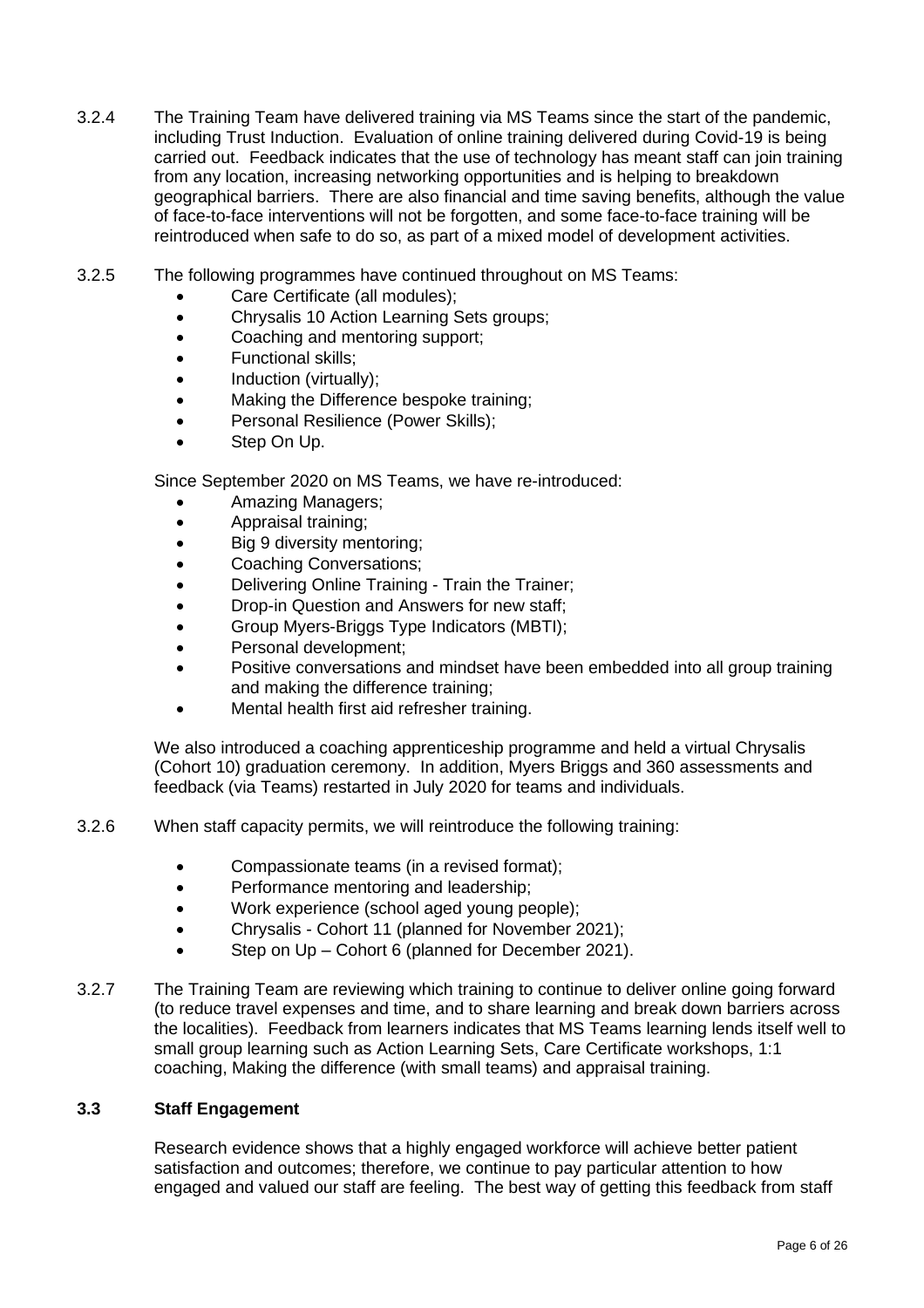- 3.2.4 The Training Team have delivered training via MS Teams since the start of the pandemic, including Trust Induction. Evaluation of online training delivered during Covid-19 is being carried out. Feedback indicates that the use of technology has meant staff can join training from any location, increasing networking opportunities and is helping to breakdown geographical barriers. There are also financial and time saving benefits, although the value of face-to-face interventions will not be forgotten, and some face-to-face training will be reintroduced when safe to do so, as part of a mixed model of development activities.
- 3.2.5 The following programmes have continued throughout on MS Teams:
	- Care Certificate (all modules);
	- Chrysalis 10 Action Learning Sets groups;
	- Coaching and mentoring support;
	- Functional skills;
	- Induction (virtually);
	- Making the Difference bespoke training;
	- Personal Resilience (Power Skills);
	- Step On Up.

Since September 2020 on MS Teams, we have re-introduced:

- Amazing Managers;
- Appraisal training;
- Big 9 diversity mentoring;
- Coaching Conversations;
- Delivering Online Training Train the Trainer;
- Drop-in Question and Answers for new staff;
- Group Myers-Briggs Type Indicators (MBTI);
- Personal development;
- Positive conversations and mindset have been embedded into all group training and making the difference training;
- Mental health first aid refresher training.

We also introduced a coaching apprenticeship programme and held a virtual Chrysalis (Cohort 10) graduation ceremony. In addition, Myers Briggs and 360 assessments and feedback (via Teams) restarted in July 2020 for teams and individuals.

- 3.2.6 When staff capacity permits, we will reintroduce the following training:
	- Compassionate teams (in a revised format);
	- Performance mentoring and leadership;
	- Work experience (school aged young people);
	- Chrysalis Cohort 11 (planned for November 2021);
	- Step on Up Cohort 6 (planned for December 2021).
- 3.2.7 The Training Team are reviewing which training to continue to deliver online going forward (to reduce travel expenses and time, and to share learning and break down barriers across the localities). Feedback from learners indicates that MS Teams learning lends itself well to small group learning such as Action Learning Sets, Care Certificate workshops, 1:1 coaching, Making the difference (with small teams) and appraisal training.

#### **3.3 Staff Engagement**

Research evidence shows that a highly engaged workforce will achieve better patient satisfaction and outcomes; therefore, we continue to pay particular attention to how engaged and valued our staff are feeling. The best way of getting this feedback from staff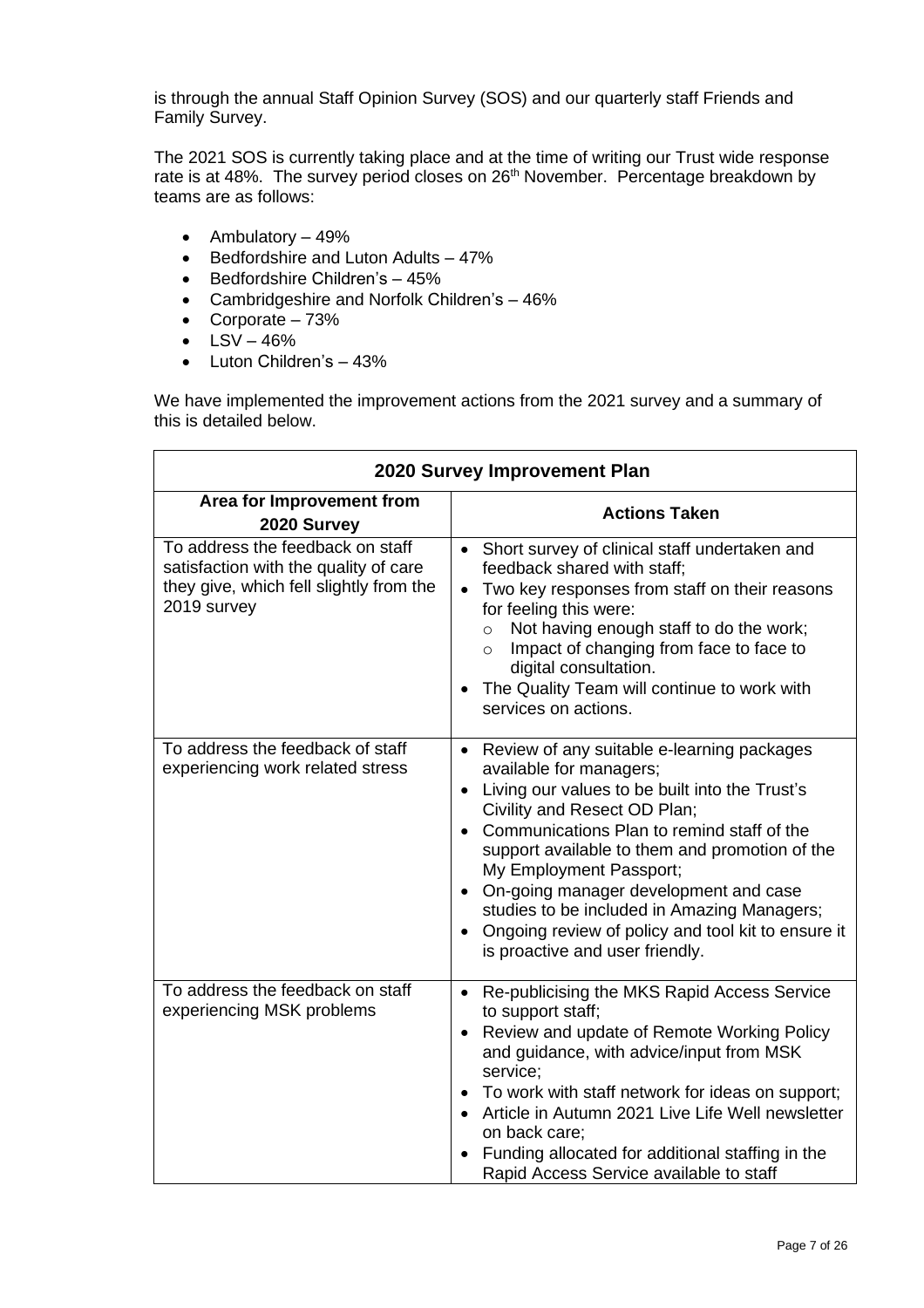is through the annual Staff Opinion Survey (SOS) and our quarterly staff Friends and Family Survey.

The 2021 SOS is currently taking place and at the time of writing our Trust wide response rate is at 48%. The survey period closes on 26<sup>th</sup> November. Percentage breakdown by teams are as follows:

- Ambulatory  $-49%$
- Bedfordshire and Luton Adults 47%
- Bedfordshire Children's 45%
- Cambridgeshire and Norfolk Children's 46%
- Corporate 73%
- $LSV 46%$
- Luton Children's 43%

We have implemented the improvement actions from the 2021 survey and a summary of this is detailed below.

| 2020 Survey Improvement Plan                                                                                                        |                                                                                                                                                                                                                                                                                                                                                                                                                                                                       |  |  |  |
|-------------------------------------------------------------------------------------------------------------------------------------|-----------------------------------------------------------------------------------------------------------------------------------------------------------------------------------------------------------------------------------------------------------------------------------------------------------------------------------------------------------------------------------------------------------------------------------------------------------------------|--|--|--|
| Area for Improvement from<br>2020 Survey                                                                                            | <b>Actions Taken</b>                                                                                                                                                                                                                                                                                                                                                                                                                                                  |  |  |  |
| To address the feedback on staff<br>satisfaction with the quality of care<br>they give, which fell slightly from the<br>2019 survey | Short survey of clinical staff undertaken and<br>$\bullet$<br>feedback shared with staff;<br>Two key responses from staff on their reasons<br>for feeling this were:<br>Not having enough staff to do the work;<br>$\circ$<br>Impact of changing from face to face to<br>$\circ$<br>digital consultation.<br>The Quality Team will continue to work with<br>services on actions.                                                                                      |  |  |  |
| To address the feedback of staff<br>experiencing work related stress                                                                | • Review of any suitable e-learning packages<br>available for managers;<br>Living our values to be built into the Trust's<br>Civility and Resect OD Plan;<br>Communications Plan to remind staff of the<br>support available to them and promotion of the<br>My Employment Passport;<br>On-going manager development and case<br>studies to be included in Amazing Managers;<br>Ongoing review of policy and tool kit to ensure it<br>is proactive and user friendly. |  |  |  |
| To address the feedback on staff<br>experiencing MSK problems                                                                       | Re-publicising the MKS Rapid Access Service<br>$\bullet$<br>to support staff;<br>Review and update of Remote Working Policy<br>and guidance, with advice/input from MSK<br>service;<br>To work with staff network for ideas on support;<br>Article in Autumn 2021 Live Life Well newsletter<br>on back care;<br>Funding allocated for additional staffing in the<br>Rapid Access Service available to staff                                                           |  |  |  |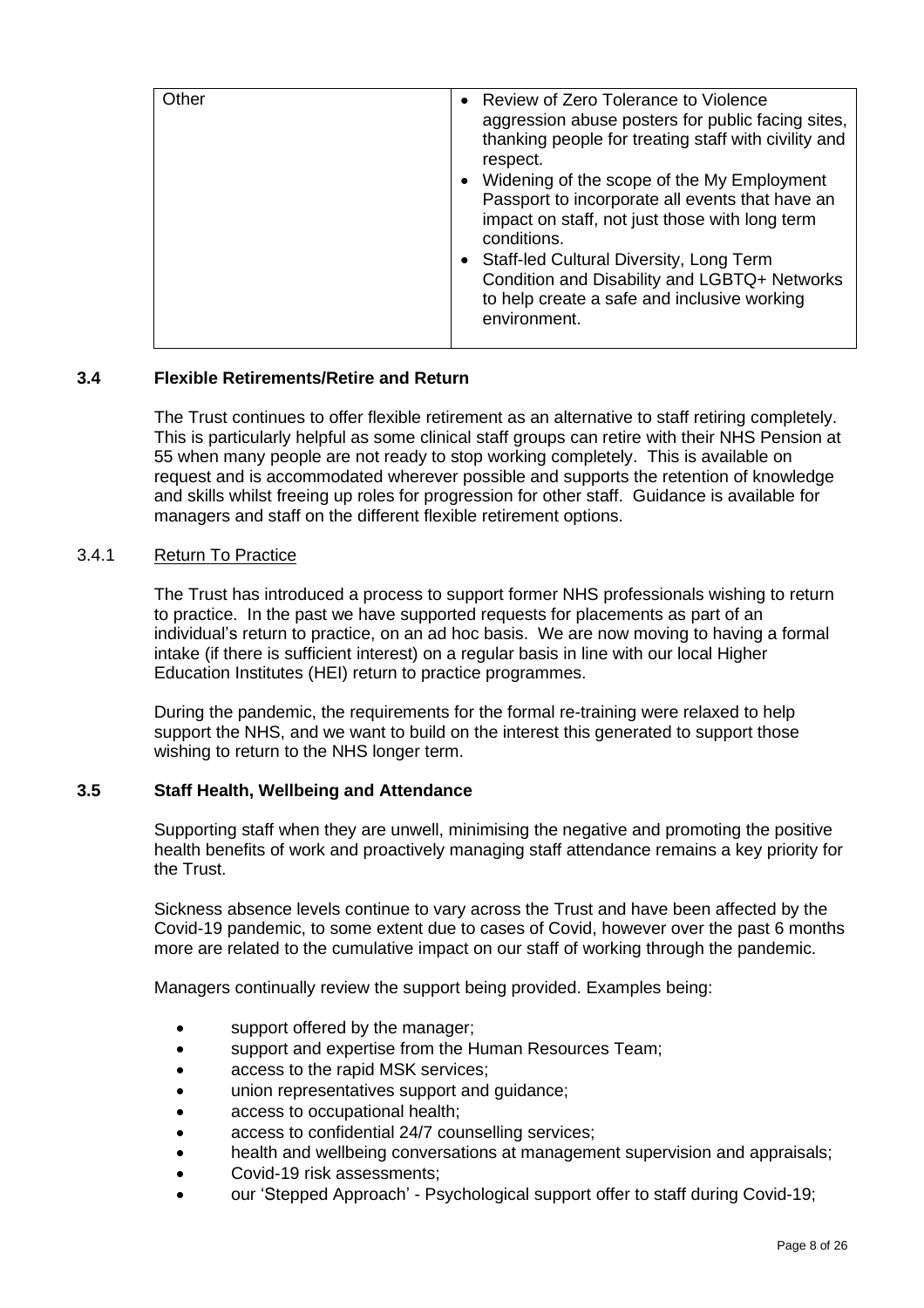| Other | • Review of Zero Tolerance to Violence<br>aggression abuse posters for public facing sites,<br>thanking people for treating staff with civility and<br>respect.<br>• Widening of the scope of the My Employment<br>Passport to incorporate all events that have an<br>impact on staff, not just those with long term<br>conditions.<br>• Staff-led Cultural Diversity, Long Term<br>Condition and Disability and LGBTQ+ Networks<br>to help create a safe and inclusive working<br>environment. |
|-------|-------------------------------------------------------------------------------------------------------------------------------------------------------------------------------------------------------------------------------------------------------------------------------------------------------------------------------------------------------------------------------------------------------------------------------------------------------------------------------------------------|
|       |                                                                                                                                                                                                                                                                                                                                                                                                                                                                                                 |

## **3.4 Flexible Retirements/Retire and Return**

The Trust continues to offer flexible retirement as an alternative to staff retiring completely. This is particularly helpful as some clinical staff groups can retire with their NHS Pension at 55 when many people are not ready to stop working completely. This is available on request and is accommodated wherever possible and supports the retention of knowledge and skills whilst freeing up roles for progression for other staff. Guidance is available for managers and staff on the different flexible retirement options.

### 3.4.1 Return To Practice

The Trust has introduced a process to support former NHS professionals wishing to return to practice. In the past we have supported requests for placements as part of an individual's return to practice, on an ad hoc basis. We are now moving to having a formal intake (if there is sufficient interest) on a regular basis in line with our local Higher Education Institutes (HEI) return to practice programmes.

During the pandemic, the requirements for the formal re-training were relaxed to help support the NHS, and we want to build on the interest this generated to support those wishing to return to the NHS longer term.

## **3.5 Staff Health, Wellbeing and Attendance**

Supporting staff when they are unwell, minimising the negative and promoting the positive health benefits of work and proactively managing staff attendance remains a key priority for the Trust.

Sickness absence levels continue to vary across the Trust and have been affected by the Covid-19 pandemic, to some extent due to cases of Covid, however over the past 6 months more are related to the cumulative impact on our staff of working through the pandemic.

Managers continually review the support being provided. Examples being:

- support offered by the manager;
- support and expertise from the Human Resources Team;
- access to the rapid MSK services;
- union representatives support and guidance;
- access to occupational health;
- access to confidential 24/7 counselling services;
- health and wellbeing conversations at management supervision and appraisals;
- Covid-19 risk assessments;
- our 'Stepped Approach' Psychological support offer to staff during Covid-19;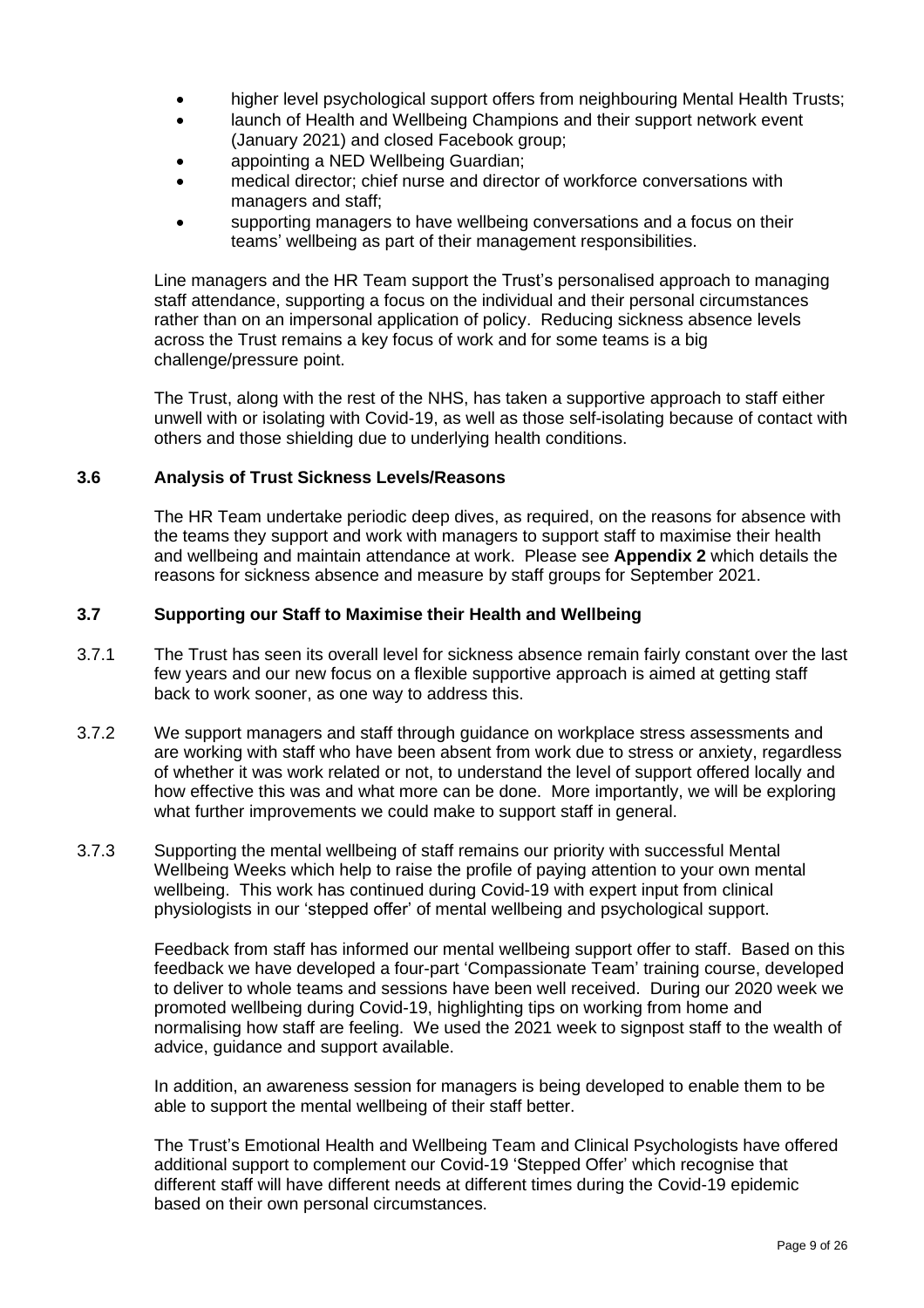- higher level psychological support offers from neighbouring Mental Health Trusts;
- launch of Health and Wellbeing Champions and their support network event (January 2021) and closed Facebook group;
- appointing a NED Wellbeing Guardian;
- medical director; chief nurse and director of workforce conversations with managers and staff;
- supporting managers to have wellbeing conversations and a focus on their teams' wellbeing as part of their management responsibilities.

Line managers and the HR Team support the Trust's personalised approach to managing staff attendance, supporting a focus on the individual and their personal circumstances rather than on an impersonal application of policy. Reducing sickness absence levels across the Trust remains a key focus of work and for some teams is a big challenge/pressure point.

The Trust, along with the rest of the NHS, has taken a supportive approach to staff either unwell with or isolating with Covid-19, as well as those self-isolating because of contact with others and those shielding due to underlying health conditions.

## **3.6 Analysis of Trust Sickness Levels/Reasons**

The HR Team undertake periodic deep dives, as required, on the reasons for absence with the teams they support and work with managers to support staff to maximise their health and wellbeing and maintain attendance at work. Please see **Appendix 2** which details the reasons for sickness absence and measure by staff groups for September 2021.

### **3.7 Supporting our Staff to Maximise their Health and Wellbeing**

- 3.7.1 The Trust has seen its overall level for sickness absence remain fairly constant over the last few years and our new focus on a flexible supportive approach is aimed at getting staff back to work sooner, as one way to address this.
- 3.7.2 We support managers and staff through guidance on workplace stress assessments and are working with staff who have been absent from work due to stress or anxiety, regardless of whether it was work related or not, to understand the level of support offered locally and how effective this was and what more can be done. More importantly, we will be exploring what further improvements we could make to support staff in general.
- 3.7.3 Supporting the mental wellbeing of staff remains our priority with successful Mental Wellbeing Weeks which help to raise the profile of paying attention to your own mental wellbeing. This work has continued during Covid-19 with expert input from clinical physiologists in our 'stepped offer' of mental wellbeing and psychological support.

Feedback from staff has informed our mental wellbeing support offer to staff. Based on this feedback we have developed a four-part 'Compassionate Team' training course, developed to deliver to whole teams and sessions have been well received. During our 2020 week we promoted wellbeing during Covid-19, highlighting tips on working from home and normalising how staff are feeling. We used the 2021 week to signpost staff to the wealth of advice, guidance and support available.

In addition, an awareness session for managers is being developed to enable them to be able to support the mental wellbeing of their staff better.

The Trust's Emotional Health and Wellbeing Team and Clinical Psychologists have offered additional support to complement our Covid-19 'Stepped Offer' which recognise that different staff will have different needs at different times during the Covid-19 epidemic based on their own personal circumstances.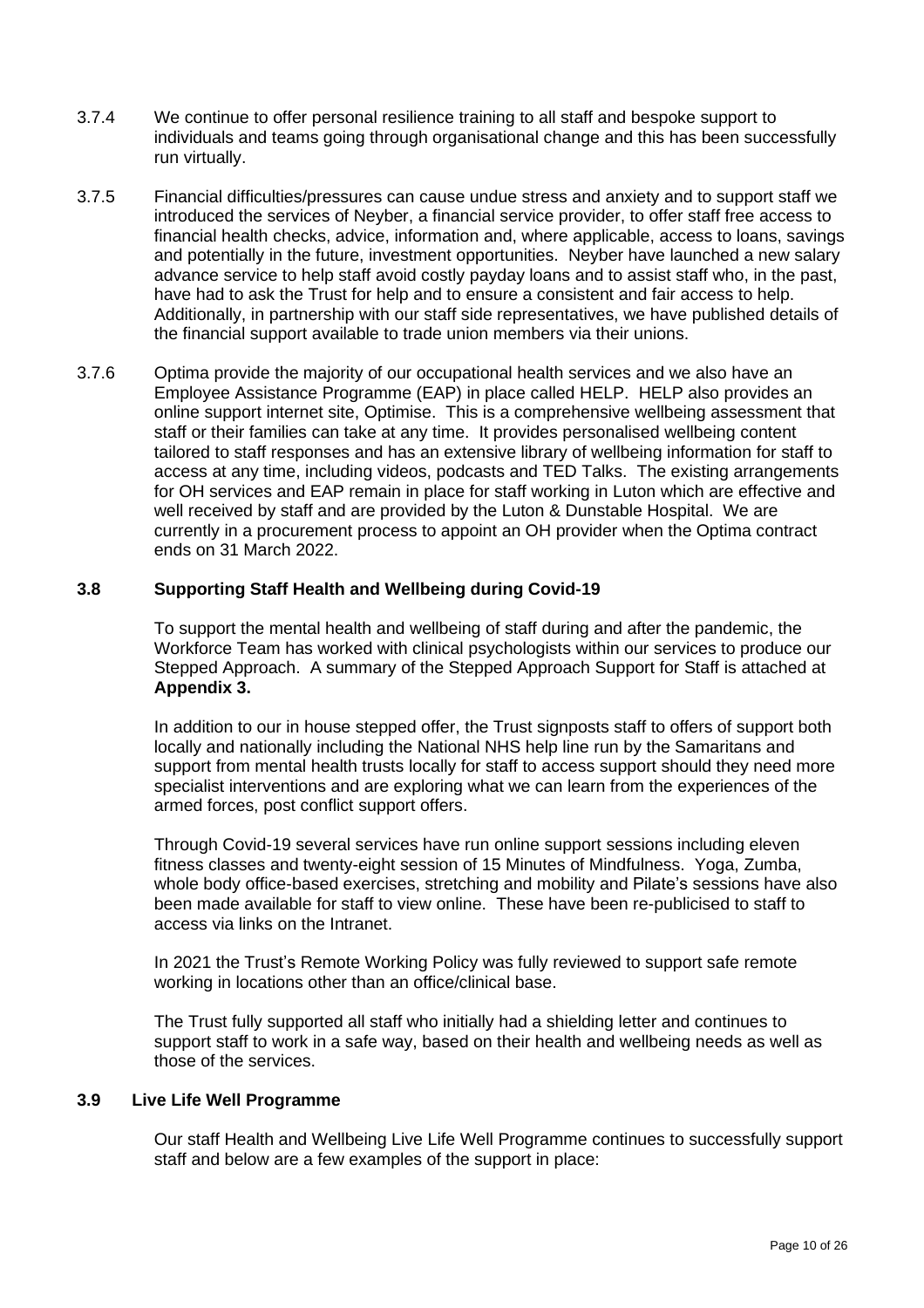- 3.7.4 We continue to offer personal resilience training to all staff and bespoke support to individuals and teams going through organisational change and this has been successfully run virtually.
- 3.7.5 Financial difficulties/pressures can cause undue stress and anxiety and to support staff we introduced the services of Neyber, a financial service provider, to offer staff free access to financial health checks, advice, information and, where applicable, access to loans, savings and potentially in the future, investment opportunities. Neyber have launched a new salary advance service to help staff avoid costly payday loans and to assist staff who, in the past, have had to ask the Trust for help and to ensure a consistent and fair access to help. Additionally, in partnership with our staff side representatives, we have published details of the financial support available to trade union members via their unions.
- 3.7.6 Optima provide the majority of our occupational health services and we also have an Employee Assistance Programme (EAP) in place called HELP. HELP also provides an online support internet site, Optimise. This is a comprehensive wellbeing assessment that staff or their families can take at any time. It provides personalised wellbeing content tailored to staff responses and has an extensive library of wellbeing information for staff to access at any time, including videos, podcasts and TED Talks. The existing arrangements for OH services and EAP remain in place for staff working in Luton which are effective and well received by staff and are provided by the Luton & Dunstable Hospital. We are currently in a procurement process to appoint an OH provider when the Optima contract ends on 31 March 2022.

### **3.8 Supporting Staff Health and Wellbeing during Covid-19**

To support the mental health and wellbeing of staff during and after the pandemic, the Workforce Team has worked with clinical psychologists within our services to produce our Stepped Approach. A summary of the Stepped Approach Support for Staff is attached at **Appendix 3.**

In addition to our in house stepped offer, the Trust signposts staff to offers of support both locally and nationally including the National NHS help line run by the Samaritans and support from mental health trusts locally for staff to access support should they need more specialist interventions and are exploring what we can learn from the experiences of the armed forces, post conflict support offers.

Through Covid-19 several services have run online support sessions including eleven fitness classes and twenty-eight session of 15 Minutes of Mindfulness. Yoga, Zumba, whole body office-based exercises, stretching and mobility and Pilate's sessions have also been made available for staff to view online. These have been re-publicised to staff to access via links on the Intranet.

In 2021 the Trust's Remote Working Policy was fully reviewed to support safe remote working in locations other than an office/clinical base.

The Trust fully supported all staff who initially had a shielding letter and continues to support staff to work in a safe way, based on their health and wellbeing needs as well as those of the services.

### **3.9 Live Life Well Programme**

Our staff Health and Wellbeing Live Life Well Programme continues to successfully support staff and below are a few examples of the support in place: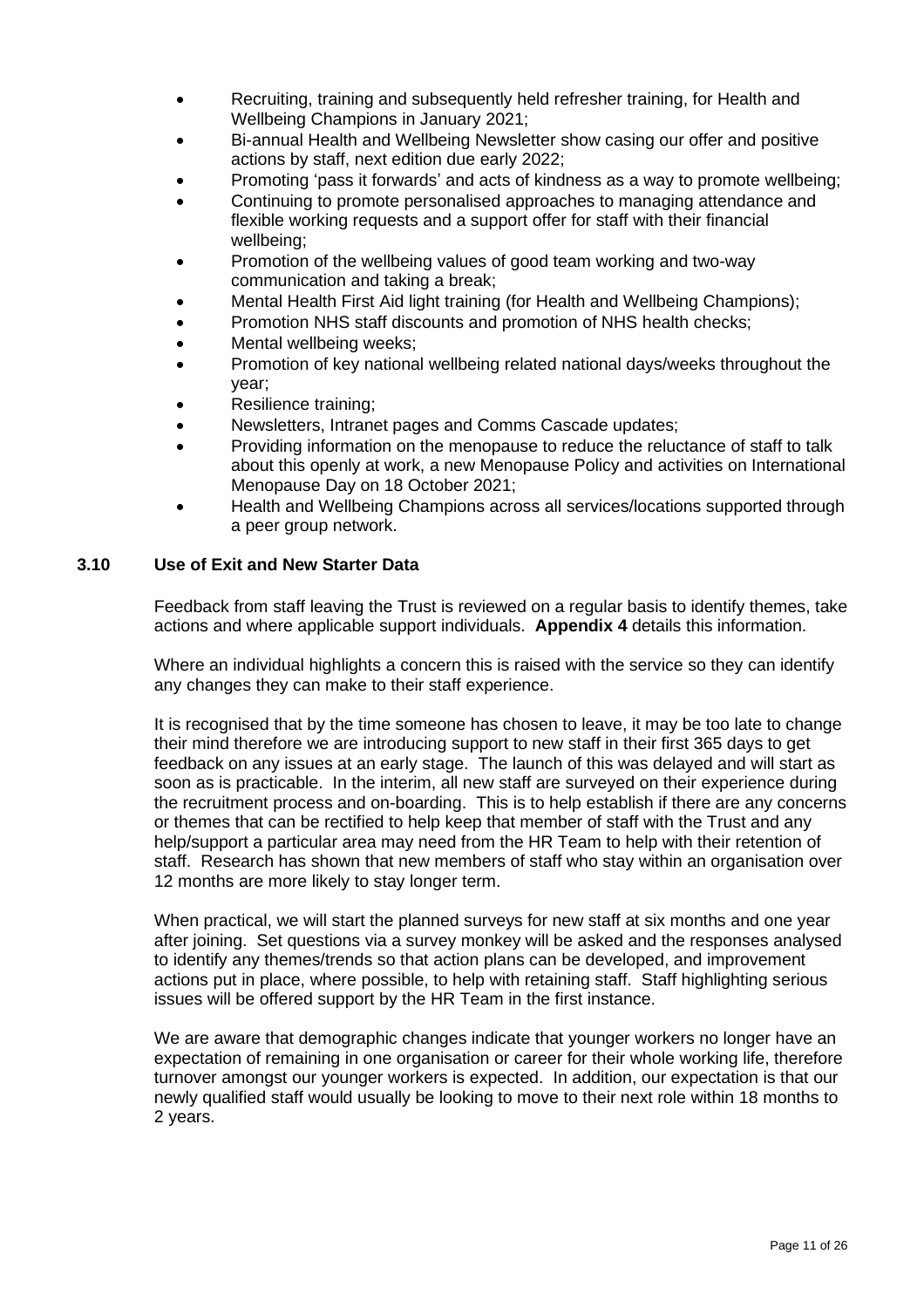- Recruiting, training and subsequently held refresher training, for Health and Wellbeing Champions in January 2021;
- Bi-annual Health and Wellbeing Newsletter show casing our offer and positive actions by staff, next edition due early 2022;
- Promoting 'pass it forwards' and acts of kindness as a way to promote wellbeing;
- Continuing to promote personalised approaches to managing attendance and flexible working requests and a support offer for staff with their financial wellbeing;
- Promotion of the wellbeing values of good team working and two-way communication and taking a break;
- Mental Health First Aid light training (for Health and Wellbeing Champions);
- Promotion NHS staff discounts and promotion of NHS health checks:
- Mental wellbeing weeks;
- Promotion of key national wellbeing related national days/weeks throughout the year;
- Resilience training;
- Newsletters, Intranet pages and Comms Cascade updates;
- Providing information on the menopause to reduce the reluctance of staff to talk about this openly at work, a new Menopause Policy and activities on International Menopause Day on 18 October 2021;
- Health and Wellbeing Champions across all services/locations supported through a peer group network.

#### **3.10 Use of Exit and New Starter Data**

Feedback from staff leaving the Trust is reviewed on a regular basis to identify themes, take actions and where applicable support individuals. **Appendix 4** details this information.

Where an individual highlights a concern this is raised with the service so they can identify any changes they can make to their staff experience.

It is recognised that by the time someone has chosen to leave, it may be too late to change their mind therefore we are introducing support to new staff in their first 365 days to get feedback on any issues at an early stage. The launch of this was delayed and will start as soon as is practicable. In the interim, all new staff are surveyed on their experience during the recruitment process and on-boarding. This is to help establish if there are any concerns or themes that can be rectified to help keep that member of staff with the Trust and any help/support a particular area may need from the HR Team to help with their retention of staff. Research has shown that new members of staff who stay within an organisation over 12 months are more likely to stay longer term.

When practical, we will start the planned surveys for new staff at six months and one year after joining. Set questions via a survey monkey will be asked and the responses analysed to identify any themes/trends so that action plans can be developed, and improvement actions put in place, where possible, to help with retaining staff. Staff highlighting serious issues will be offered support by the HR Team in the first instance.

We are aware that demographic changes indicate that younger workers no longer have an expectation of remaining in one organisation or career for their whole working life, therefore turnover amongst our younger workers is expected. In addition, our expectation is that our newly qualified staff would usually be looking to move to their next role within 18 months to 2 years.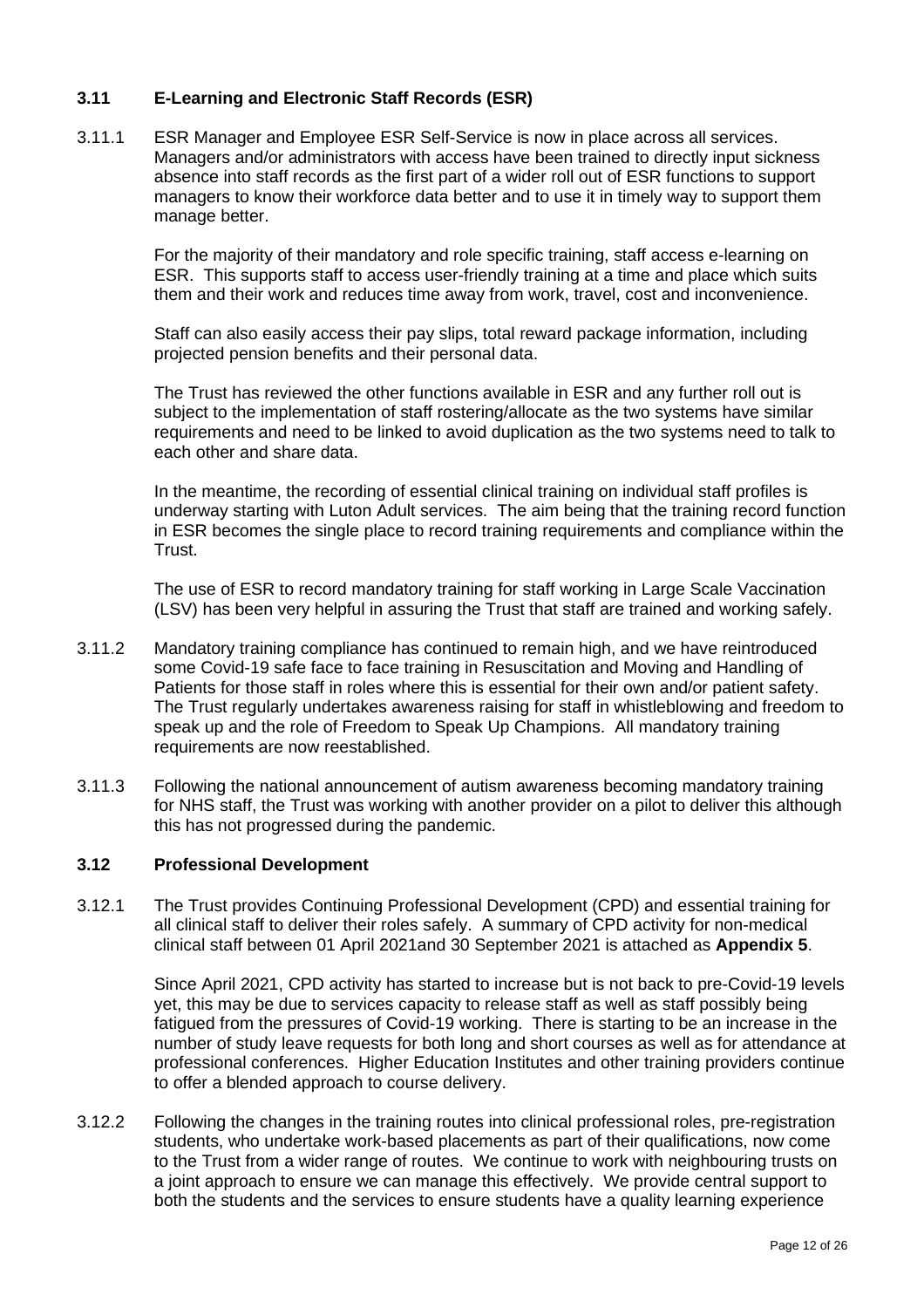## **3.11 E-Learning and Electronic Staff Records (ESR)**

3.11.1 ESR Manager and Employee ESR Self-Service is now in place across all services. Managers and/or administrators with access have been trained to directly input sickness absence into staff records as the first part of a wider roll out of ESR functions to support managers to know their workforce data better and to use it in timely way to support them manage better.

> For the majority of their mandatory and role specific training, staff access e-learning on ESR. This supports staff to access user-friendly training at a time and place which suits them and their work and reduces time away from work, travel, cost and inconvenience.

Staff can also easily access their pay slips, total reward package information, including projected pension benefits and their personal data.

The Trust has reviewed the other functions available in ESR and any further roll out is subject to the implementation of staff rostering/allocate as the two systems have similar requirements and need to be linked to avoid duplication as the two systems need to talk to each other and share data.

In the meantime, the recording of essential clinical training on individual staff profiles is underway starting with Luton Adult services. The aim being that the training record function in ESR becomes the single place to record training requirements and compliance within the Trust.

The use of ESR to record mandatory training for staff working in Large Scale Vaccination (LSV) has been very helpful in assuring the Trust that staff are trained and working safely.

- 3.11.2 Mandatory training compliance has continued to remain high, and we have reintroduced some Covid-19 safe face to face training in Resuscitation and Moving and Handling of Patients for those staff in roles where this is essential for their own and/or patient safety. The Trust regularly undertakes awareness raising for staff in whistleblowing and freedom to speak up and the role of Freedom to Speak Up Champions. All mandatory training requirements are now reestablished.
- 3.11.3 Following the national announcement of autism awareness becoming mandatory training for NHS staff, the Trust was working with another provider on a pilot to deliver this although this has not progressed during the pandemic.

### **3.12 Professional Development**

3.12.1 The Trust provides Continuing Professional Development (CPD) and essential training for all clinical staff to deliver their roles safely. A summary of CPD activity for non-medical clinical staff between 01 April 2021and 30 September 2021 is attached as **Appendix 5**.

Since April 2021, CPD activity has started to increase but is not back to pre-Covid-19 levels yet, this may be due to services capacity to release staff as well as staff possibly being fatigued from the pressures of Covid-19 working. There is starting to be an increase in the number of study leave requests for both long and short courses as well as for attendance at professional conferences. Higher Education Institutes and other training providers continue to offer a blended approach to course delivery.

3.12.2 Following the changes in the training routes into clinical professional roles, pre-registration students, who undertake work-based placements as part of their qualifications, now come to the Trust from a wider range of routes. We continue to work with neighbouring trusts on a joint approach to ensure we can manage this effectively. We provide central support to both the students and the services to ensure students have a quality learning experience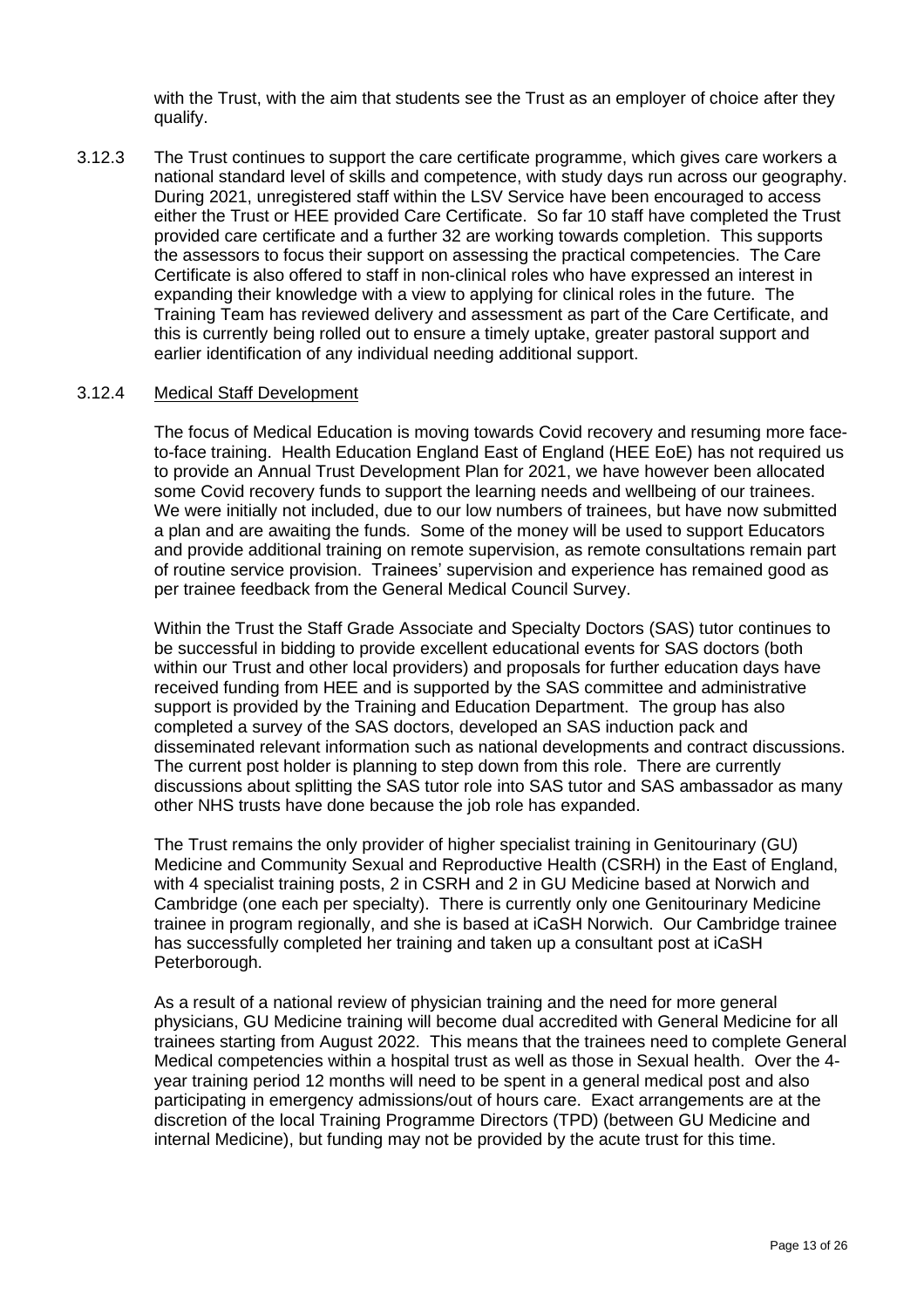with the Trust, with the aim that students see the Trust as an employer of choice after they qualify.

3.12.3 The Trust continues to support the care certificate programme, which gives care workers a national standard level of skills and competence, with study days run across our geography. During 2021, unregistered staff within the LSV Service have been encouraged to access either the Trust or HEE provided Care Certificate. So far 10 staff have completed the Trust provided care certificate and a further 32 are working towards completion. This supports the assessors to focus their support on assessing the practical competencies. The Care Certificate is also offered to staff in non-clinical roles who have expressed an interest in expanding their knowledge with a view to applying for clinical roles in the future. The Training Team has reviewed delivery and assessment as part of the Care Certificate, and this is currently being rolled out to ensure a timely uptake, greater pastoral support and earlier identification of any individual needing additional support.

#### 3.12.4 Medical Staff Development

The focus of Medical Education is moving towards Covid recovery and resuming more faceto-face training. Health Education England East of England (HEE EoE) has not required us to provide an Annual Trust Development Plan for 2021, we have however been allocated some Covid recovery funds to support the learning needs and wellbeing of our trainees. We were initially not included, due to our low numbers of trainees, but have now submitted a plan and are awaiting the funds. Some of the money will be used to support Educators and provide additional training on remote supervision, as remote consultations remain part of routine service provision. Trainees' supervision and experience has remained good as per trainee feedback from the General Medical Council Survey.

Within the Trust the Staff Grade Associate and Specialty Doctors (SAS) tutor continues to be successful in bidding to provide excellent educational events for SAS doctors (both within our Trust and other local providers) and proposals for further education days have received funding from HEE and is supported by the SAS committee and administrative support is provided by the Training and Education Department. The group has also completed a survey of the SAS doctors, developed an SAS induction pack and disseminated relevant information such as national developments and contract discussions. The current post holder is planning to step down from this role. There are currently discussions about splitting the SAS tutor role into SAS tutor and SAS ambassador as many other NHS trusts have done because the job role has expanded.

The Trust remains the only provider of higher specialist training in Genitourinary (GU) Medicine and Community Sexual and Reproductive Health (CSRH) in the East of England, with 4 specialist training posts, 2 in CSRH and 2 in GU Medicine based at Norwich and Cambridge (one each per specialty). There is currently only one Genitourinary Medicine trainee in program regionally, and she is based at iCaSH Norwich. Our Cambridge trainee has successfully completed her training and taken up a consultant post at iCaSH Peterborough.

As a result of a national review of physician training and the need for more general physicians, GU Medicine training will become dual accredited with General Medicine for all trainees starting from August 2022. This means that the trainees need to complete General Medical competencies within a hospital trust as well as those in Sexual health. Over the 4 year training period 12 months will need to be spent in a general medical post and also participating in emergency admissions/out of hours care. Exact arrangements are at the discretion of the local Training Programme Directors (TPD) (between GU Medicine and internal Medicine), but funding may not be provided by the acute trust for this time.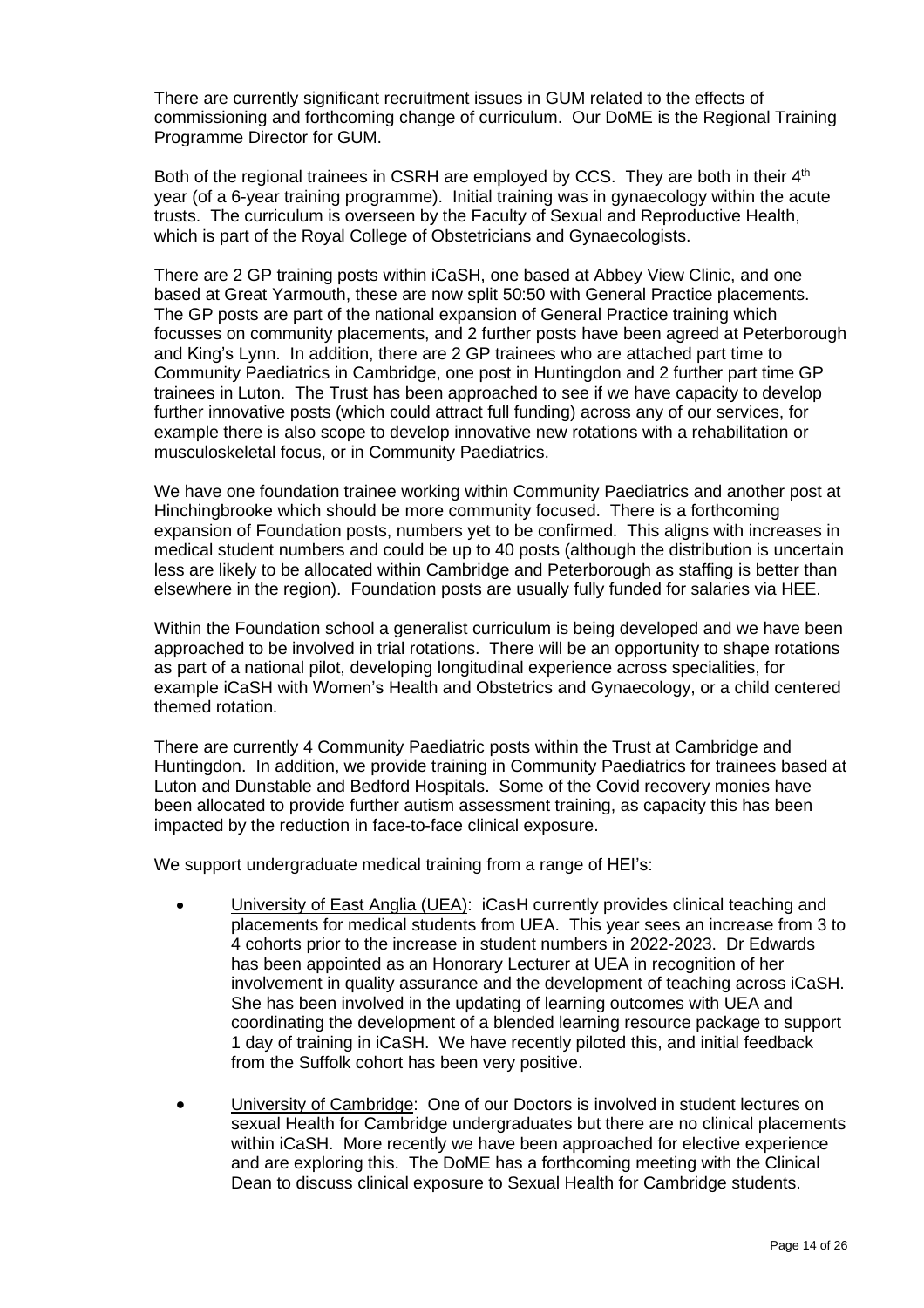There are currently significant recruitment issues in GUM related to the effects of commissioning and forthcoming change of curriculum. Our DoME is the Regional Training Programme Director for GUM.

Both of the regional trainees in CSRH are employed by CCS. They are both in their 4<sup>th</sup> year (of a 6-year training programme). Initial training was in gynaecology within the acute trusts. The curriculum is overseen by the Faculty of Sexual and Reproductive Health, which is part of the Royal College of Obstetricians and Gynaecologists.

There are 2 GP training posts within iCaSH, one based at Abbey View Clinic, and one based at Great Yarmouth, these are now split 50:50 with General Practice placements. The GP posts are part of the national expansion of General Practice training which focusses on community placements, and 2 further posts have been agreed at Peterborough and King's Lynn. In addition, there are 2 GP trainees who are attached part time to Community Paediatrics in Cambridge, one post in Huntingdon and 2 further part time GP trainees in Luton. The Trust has been approached to see if we have capacity to develop further innovative posts (which could attract full funding) across any of our services, for example there is also scope to develop innovative new rotations with a rehabilitation or musculoskeletal focus, or in Community Paediatrics.

We have one foundation trainee working within Community Paediatrics and another post at Hinchingbrooke which should be more community focused. There is a forthcoming expansion of Foundation posts, numbers yet to be confirmed. This aligns with increases in medical student numbers and could be up to 40 posts (although the distribution is uncertain less are likely to be allocated within Cambridge and Peterborough as staffing is better than elsewhere in the region). Foundation posts are usually fully funded for salaries via HEE.

Within the Foundation school a generalist curriculum is being developed and we have been approached to be involved in trial rotations. There will be an opportunity to shape rotations as part of a national pilot, developing longitudinal experience across specialities, for example iCaSH with Women's Health and Obstetrics and Gynaecology, or a child centered themed rotation.

There are currently 4 Community Paediatric posts within the Trust at Cambridge and Huntingdon. In addition, we provide training in Community Paediatrics for trainees based at Luton and Dunstable and Bedford Hospitals. Some of the Covid recovery monies have been allocated to provide further autism assessment training, as capacity this has been impacted by the reduction in face-to-face clinical exposure.

We support undergraduate medical training from a range of HEI's:

- University of East Anglia (UEA): iCasH currently provides clinical teaching and placements for medical students from UEA. This year sees an increase from 3 to 4 cohorts prior to the increase in student numbers in 2022-2023. Dr Edwards has been appointed as an Honorary Lecturer at UEA in recognition of her involvement in quality assurance and the development of teaching across iCaSH. She has been involved in the updating of learning outcomes with UEA and coordinating the development of a blended learning resource package to support 1 day of training in iCaSH. We have recently piloted this, and initial feedback from the Suffolk cohort has been very positive.
- University of Cambridge: One of our Doctors is involved in student lectures on sexual Health for Cambridge undergraduates but there are no clinical placements within iCaSH. More recently we have been approached for elective experience and are exploring this. The DoME has a forthcoming meeting with the Clinical Dean to discuss clinical exposure to Sexual Health for Cambridge students.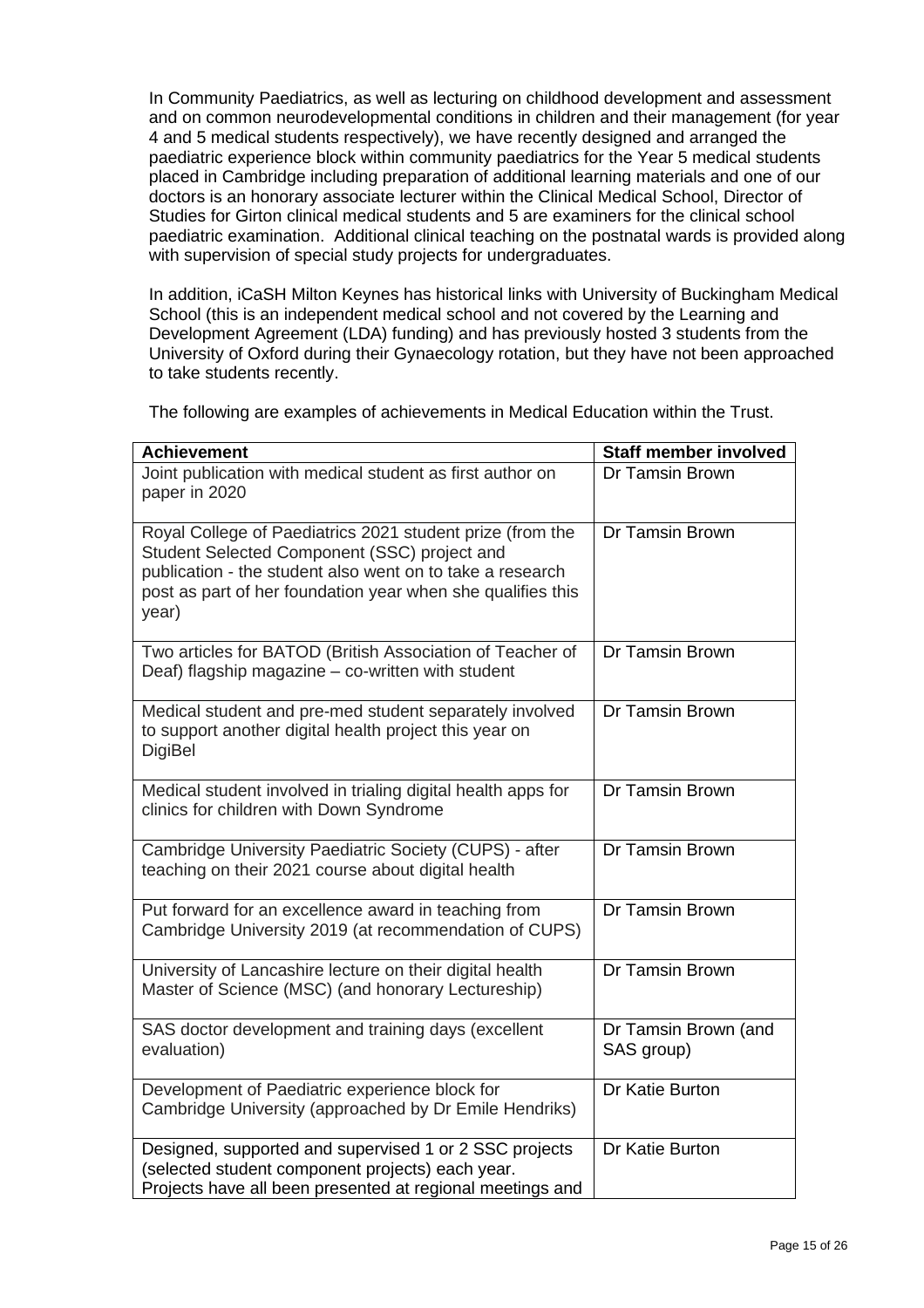In Community Paediatrics, as well as lecturing on childhood development and assessment and on common neurodevelopmental conditions in children and their management (for year 4 and 5 medical students respectively), we have recently designed and arranged the paediatric experience block within community paediatrics for the Year 5 medical students placed in Cambridge including preparation of additional learning materials and one of our doctors is an honorary associate lecturer within the Clinical Medical School, Director of Studies for Girton clinical medical students and 5 are examiners for the clinical school paediatric examination. Additional clinical teaching on the postnatal wards is provided along with supervision of special study projects for undergraduates.

In addition, iCaSH Milton Keynes has historical links with University of Buckingham Medical School (this is an independent medical school and not covered by the Learning and Development Agreement (LDA) funding) and has previously hosted 3 students from the University of Oxford during their Gynaecology rotation, but they have not been approached to take students recently.

The following are examples of achievements in Medical Education within the Trust.

| <b>Achievement</b>                                                                                                                                                                                                                             | <b>Staff member involved</b>       |
|------------------------------------------------------------------------------------------------------------------------------------------------------------------------------------------------------------------------------------------------|------------------------------------|
| Joint publication with medical student as first author on<br>paper in 2020                                                                                                                                                                     | Dr Tamsin Brown                    |
| Royal College of Paediatrics 2021 student prize (from the<br>Student Selected Component (SSC) project and<br>publication - the student also went on to take a research<br>post as part of her foundation year when she qualifies this<br>year) | Dr Tamsin Brown                    |
| Two articles for BATOD (British Association of Teacher of<br>Deaf) flagship magazine - co-written with student                                                                                                                                 | Dr Tamsin Brown                    |
| Medical student and pre-med student separately involved<br>to support another digital health project this year on<br><b>DigiBel</b>                                                                                                            | Dr Tamsin Brown                    |
| Medical student involved in trialing digital health apps for<br>clinics for children with Down Syndrome                                                                                                                                        | Dr Tamsin Brown                    |
| Cambridge University Paediatric Society (CUPS) - after<br>teaching on their 2021 course about digital health                                                                                                                                   | Dr Tamsin Brown                    |
| Put forward for an excellence award in teaching from<br>Cambridge University 2019 (at recommendation of CUPS)                                                                                                                                  | Dr Tamsin Brown                    |
| University of Lancashire lecture on their digital health<br>Master of Science (MSC) (and honorary Lectureship)                                                                                                                                 | Dr Tamsin Brown                    |
| SAS doctor development and training days (excellent<br>evaluation)                                                                                                                                                                             | Dr Tamsin Brown (and<br>SAS group) |
| Development of Paediatric experience block for<br>Cambridge University (approached by Dr Emile Hendriks)                                                                                                                                       | Dr Katie Burton                    |
| Designed, supported and supervised 1 or 2 SSC projects<br>(selected student component projects) each year.<br>Projects have all been presented at regional meetings and                                                                        | Dr Katie Burton                    |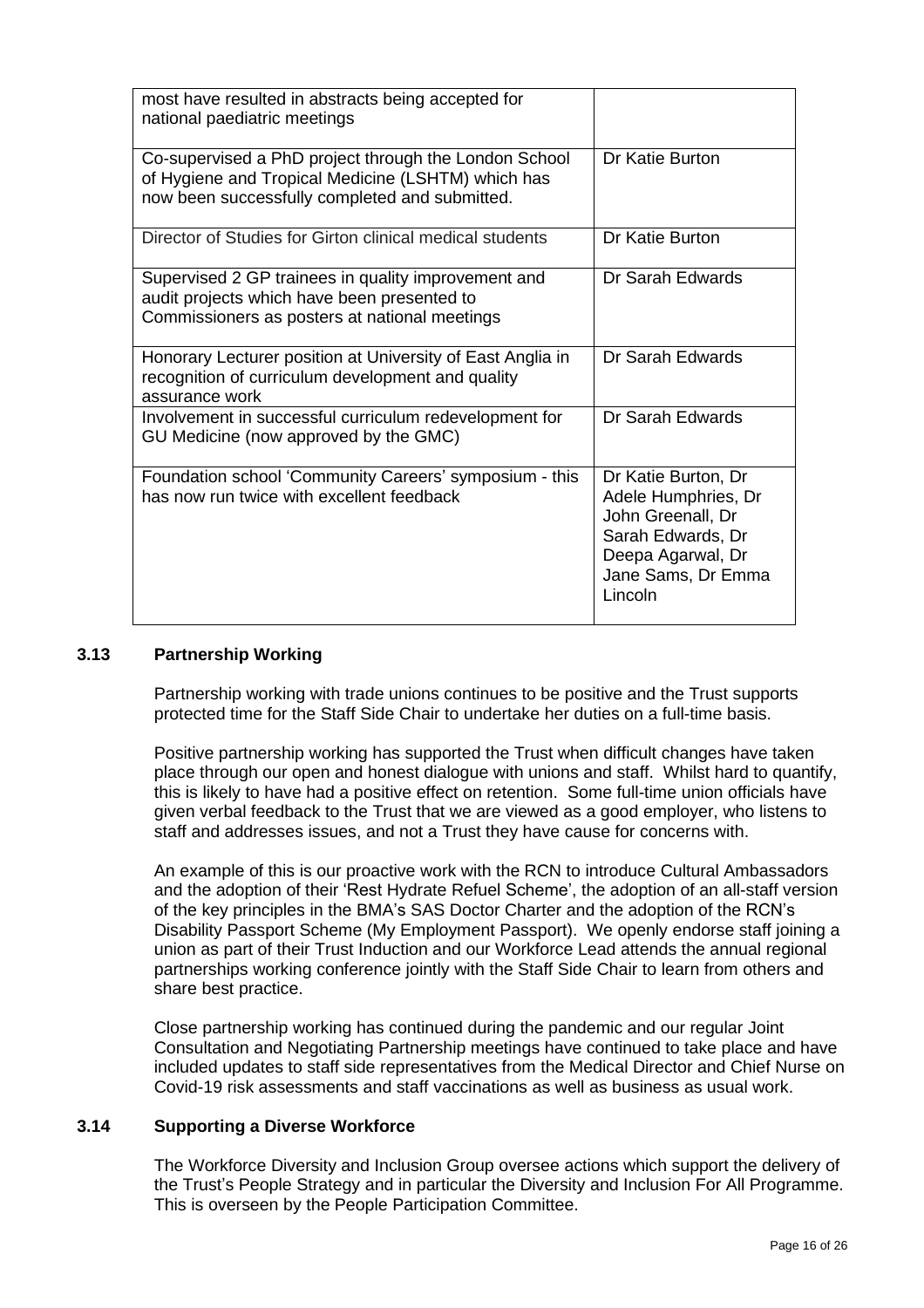| most have resulted in abstracts being accepted for<br>national paediatric meetings                                                                            |                                                                                                                                            |
|---------------------------------------------------------------------------------------------------------------------------------------------------------------|--------------------------------------------------------------------------------------------------------------------------------------------|
| Co-supervised a PhD project through the London School<br>of Hygiene and Tropical Medicine (LSHTM) which has<br>now been successfully completed and submitted. | Dr Katie Burton                                                                                                                            |
| Director of Studies for Girton clinical medical students                                                                                                      | Dr Katie Burton                                                                                                                            |
| Supervised 2 GP trainees in quality improvement and<br>audit projects which have been presented to<br>Commissioners as posters at national meetings           | Dr Sarah Edwards                                                                                                                           |
| Honorary Lecturer position at University of East Anglia in<br>recognition of curriculum development and quality<br>assurance work                             | Dr Sarah Edwards                                                                                                                           |
| Involvement in successful curriculum redevelopment for<br>GU Medicine (now approved by the GMC)                                                               | Dr Sarah Edwards                                                                                                                           |
| Foundation school 'Community Careers' symposium - this<br>has now run twice with excellent feedback                                                           | Dr Katie Burton, Dr<br>Adele Humphries, Dr<br>John Greenall, Dr<br>Sarah Edwards, Dr<br>Deepa Agarwal, Dr<br>Jane Sams, Dr Emma<br>Lincoln |

### **3.13 Partnership Working**

Partnership working with trade unions continues to be positive and the Trust supports protected time for the Staff Side Chair to undertake her duties on a full-time basis.

Positive partnership working has supported the Trust when difficult changes have taken place through our open and honest dialogue with unions and staff. Whilst hard to quantify, this is likely to have had a positive effect on retention. Some full-time union officials have given verbal feedback to the Trust that we are viewed as a good employer, who listens to staff and addresses issues, and not a Trust they have cause for concerns with.

An example of this is our proactive work with the RCN to introduce Cultural Ambassadors and the adoption of their 'Rest Hydrate Refuel Scheme', the adoption of an all-staff version of the key principles in the BMA's SAS Doctor Charter and the adoption of the RCN's Disability Passport Scheme (My Employment Passport). We openly endorse staff joining a union as part of their Trust Induction and our Workforce Lead attends the annual regional partnerships working conference jointly with the Staff Side Chair to learn from others and share best practice.

Close partnership working has continued during the pandemic and our regular Joint Consultation and Negotiating Partnership meetings have continued to take place and have included updates to staff side representatives from the Medical Director and Chief Nurse on Covid-19 risk assessments and staff vaccinations as well as business as usual work.

### **3.14 Supporting a Diverse Workforce**

The Workforce Diversity and Inclusion Group oversee actions which support the delivery of the Trust's People Strategy and in particular the Diversity and Inclusion For All Programme. This is overseen by the People Participation Committee.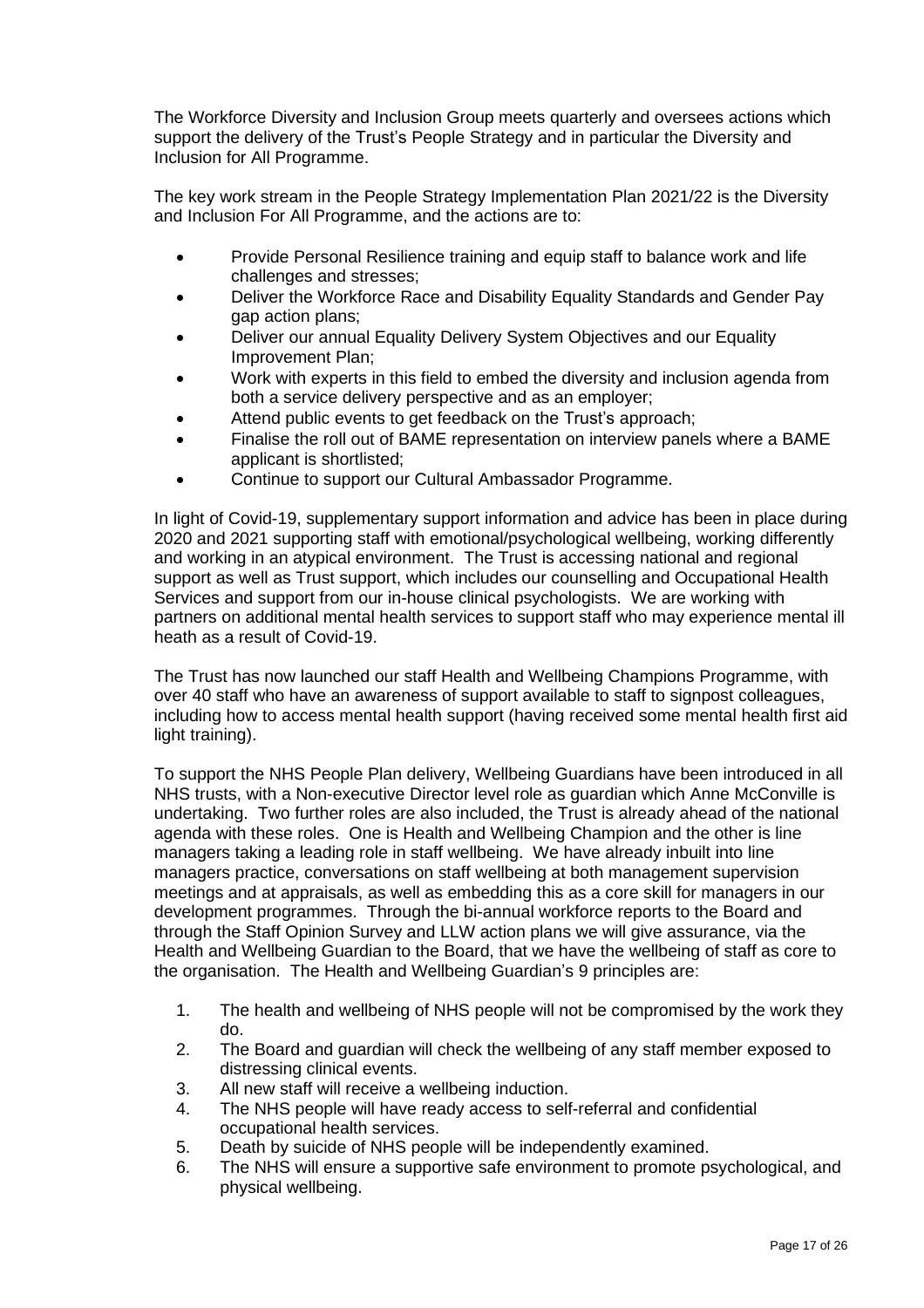The Workforce Diversity and Inclusion Group meets quarterly and oversees actions which support the delivery of the Trust's People Strategy and in particular the Diversity and Inclusion for All Programme.

The key work stream in the People Strategy Implementation Plan 2021/22 is the Diversity and Inclusion For All Programme, and the actions are to:

- Provide Personal Resilience training and equip staff to balance work and life challenges and stresses;
- Deliver the Workforce Race and Disability Equality Standards and Gender Pay gap action plans;
- Deliver our annual Equality Delivery System Objectives and our Equality Improvement Plan;
- Work with experts in this field to embed the diversity and inclusion agenda from both a service delivery perspective and as an employer;
- Attend public events to get feedback on the Trust's approach:
- Finalise the roll out of BAME representation on interview panels where a BAME applicant is shortlisted;
- Continue to support our Cultural Ambassador Programme.

In light of Covid-19, supplementary support information and advice has been in place during 2020 and 2021 supporting staff with emotional/psychological wellbeing, working differently and working in an atypical environment. The Trust is accessing national and regional support as well as Trust support, which includes our counselling and Occupational Health Services and support from our in-house clinical psychologists. We are working with partners on additional mental health services to support staff who may experience mental ill heath as a result of Covid-19.

The Trust has now launched our staff Health and Wellbeing Champions Programme, with over 40 staff who have an awareness of support available to staff to signpost colleagues, including how to access mental health support (having received some mental health first aid light training).

To support the NHS People Plan delivery, Wellbeing Guardians have been introduced in all NHS trusts, with a Non-executive Director level role as guardian which Anne McConville is undertaking. Two further roles are also included, the Trust is already ahead of the national agenda with these roles. One is Health and Wellbeing Champion and the other is line managers taking a leading role in staff wellbeing. We have already inbuilt into line managers practice, conversations on staff wellbeing at both management supervision meetings and at appraisals, as well as embedding this as a core skill for managers in our development programmes. Through the bi-annual workforce reports to the Board and through the Staff Opinion Survey and LLW action plans we will give assurance, via the Health and Wellbeing Guardian to the Board, that we have the wellbeing of staff as core to the organisation. The Health and Wellbeing Guardian's 9 principles are:

- 1. The health and wellbeing of NHS people will not be compromised by the work they do.
- 2. The Board and guardian will check the wellbeing of any staff member exposed to distressing clinical events.
- 3. All new staff will receive a wellbeing induction.
- 4. The NHS people will have ready access to self-referral and confidential occupational health services.
- 5. Death by suicide of NHS people will be independently examined.
- 6. The NHS will ensure a supportive safe environment to promote psychological, and physical wellbeing.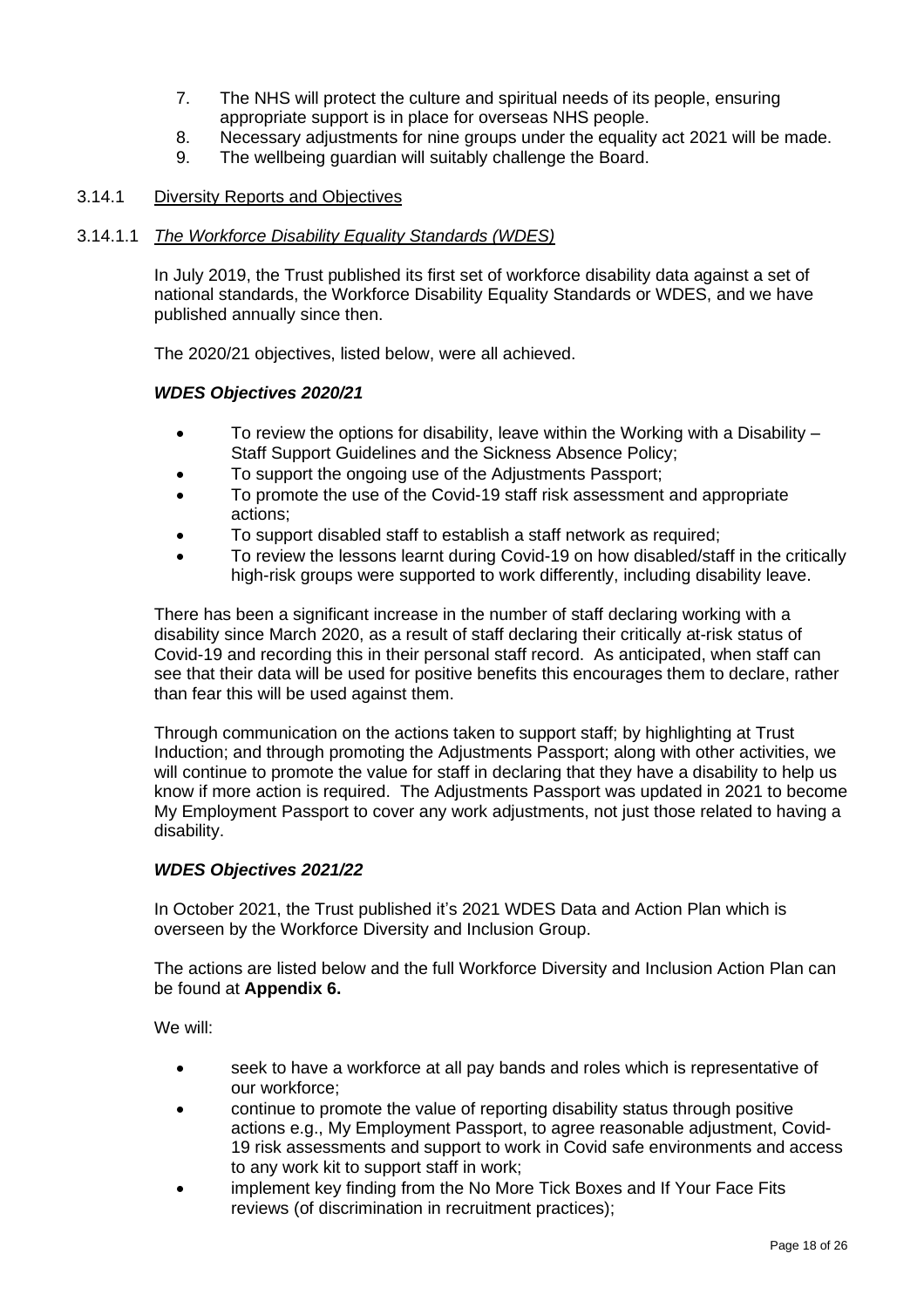- 7. The NHS will protect the culture and spiritual needs of its people, ensuring appropriate support is in place for overseas NHS people.
- 8. Necessary adjustments for nine groups under the equality act 2021 will be made.
- 9. The wellbeing guardian will suitably challenge the Board.

### 3.14.1 Diversity Reports and Objectives

#### 3.14.1.1 *The Workforce Disability Equality Standards (WDES)*

In July 2019, the Trust published its first set of workforce disability data against a set of national standards, the Workforce Disability Equality Standards or WDES, and we have published annually since then.

The 2020/21 objectives, listed below, were all achieved.

#### *WDES Objectives 2020/21*

- To review the options for disability, leave within the Working with a Disability Staff Support Guidelines and the Sickness Absence Policy;
- To support the ongoing use of the Adjustments Passport;
- To promote the use of the Covid-19 staff risk assessment and appropriate actions;
- To support disabled staff to establish a staff network as required;
- To review the lessons learnt during Covid-19 on how disabled/staff in the critically high-risk groups were supported to work differently, including disability leave.

There has been a significant increase in the number of staff declaring working with a disability since March 2020, as a result of staff declaring their critically at-risk status of Covid-19 and recording this in their personal staff record. As anticipated, when staff can see that their data will be used for positive benefits this encourages them to declare, rather than fear this will be used against them.

Through communication on the actions taken to support staff; by highlighting at Trust Induction; and through promoting the Adjustments Passport; along with other activities, we will continue to promote the value for staff in declaring that they have a disability to help us know if more action is required. The Adjustments Passport was updated in 2021 to become My Employment Passport to cover any work adjustments, not just those related to having a disability.

#### *WDES Objectives 2021/22*

In October 2021, the Trust published it's 2021 WDES Data and Action Plan which is overseen by the Workforce Diversity and Inclusion Group.

The actions are listed below and the full Workforce Diversity and Inclusion Action Plan can be found at **Appendix 6.**

We will:

- seek to have a workforce at all pay bands and roles which is representative of our workforce;
- continue to promote the value of reporting disability status through positive actions e.g., My Employment Passport, to agree reasonable adjustment, Covid-19 risk assessments and support to work in Covid safe environments and access to any work kit to support staff in work;
- implement key finding from the No More Tick Boxes and If Your Face Fits reviews (of discrimination in recruitment practices);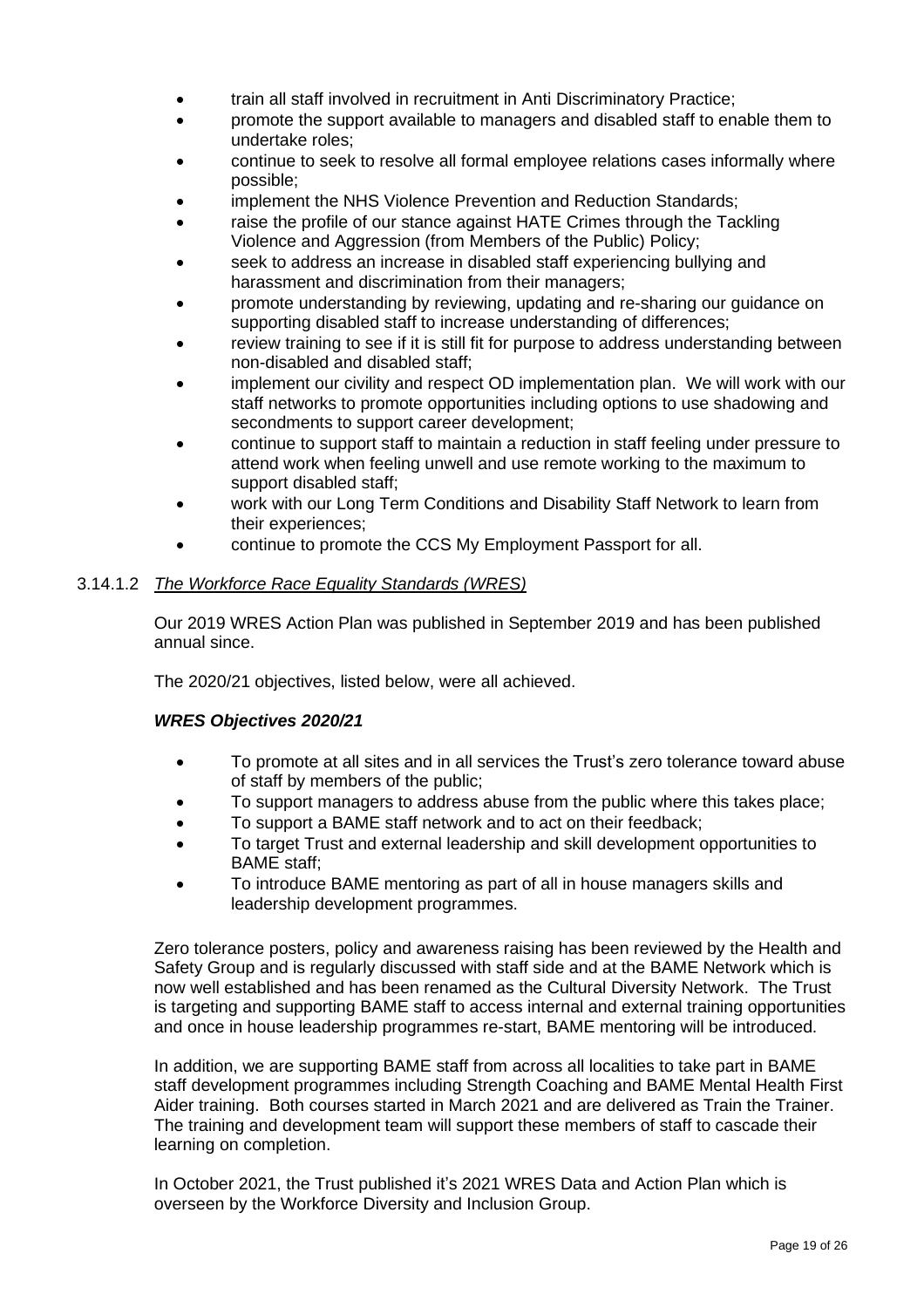- train all staff involved in recruitment in Anti Discriminatory Practice;
- promote the support available to managers and disabled staff to enable them to undertake roles;
- continue to seek to resolve all formal employee relations cases informally where possible;
- implement the NHS Violence Prevention and Reduction Standards;
- raise the profile of our stance against HATE Crimes through the Tackling Violence and Aggression (from Members of the Public) Policy;
- seek to address an increase in disabled staff experiencing bullying and harassment and discrimination from their managers;
- promote understanding by reviewing, updating and re-sharing our guidance on supporting disabled staff to increase understanding of differences;
- review training to see if it is still fit for purpose to address understanding between non-disabled and disabled staff;
- implement our civility and respect OD implementation plan. We will work with our staff networks to promote opportunities including options to use shadowing and secondments to support career development;
- continue to support staff to maintain a reduction in staff feeling under pressure to attend work when feeling unwell and use remote working to the maximum to support disabled staff;
- work with our Long Term Conditions and Disability Staff Network to learn from their experiences;
- continue to promote the CCS My Employment Passport for all.

## 3.14.1.2 *The Workforce Race Equality Standards (WRES)*

Our 2019 WRES Action Plan was published in September 2019 and has been published annual since.

The 2020/21 objectives, listed below, were all achieved.

### *WRES Objectives 2020/21*

- To promote at all sites and in all services the Trust's zero tolerance toward abuse of staff by members of the public;
- To support managers to address abuse from the public where this takes place;
- To support a BAME staff network and to act on their feedback;
- To target Trust and external leadership and skill development opportunities to BAME staff;
- To introduce BAME mentoring as part of all in house managers skills and leadership development programmes.

Zero tolerance posters, policy and awareness raising has been reviewed by the Health and Safety Group and is regularly discussed with staff side and at the BAME Network which is now well established and has been renamed as the Cultural Diversity Network. The Trust is targeting and supporting BAME staff to access internal and external training opportunities and once in house leadership programmes re-start, BAME mentoring will be introduced.

In addition, we are supporting BAME staff from across all localities to take part in BAME staff development programmes including Strength Coaching and BAME Mental Health First Aider training. Both courses started in March 2021 and are delivered as Train the Trainer. The training and development team will support these members of staff to cascade their learning on completion.

In October 2021, the Trust published it's 2021 WRES Data and Action Plan which is overseen by the Workforce Diversity and Inclusion Group.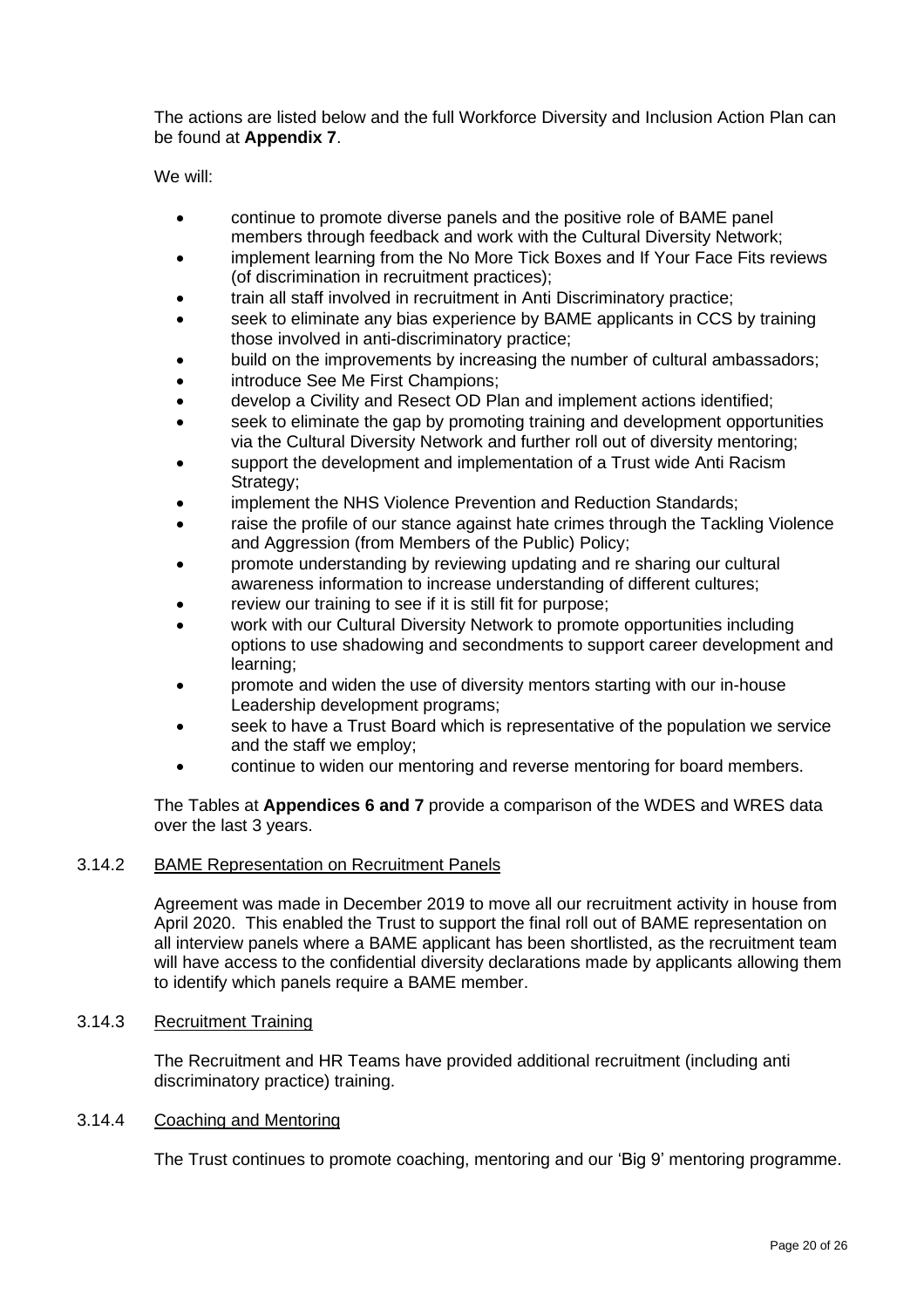The actions are listed below and the full Workforce Diversity and Inclusion Action Plan can be found at **Appendix 7**.

We will:

- continue to promote diverse panels and the positive role of BAME panel members through feedback and work with the Cultural Diversity Network;
- implement learning from the No More Tick Boxes and If Your Face Fits reviews (of discrimination in recruitment practices);
- train all staff involved in recruitment in Anti Discriminatory practice;
- seek to eliminate any bias experience by BAME applicants in CCS by training those involved in anti-discriminatory practice;
- build on the improvements by increasing the number of cultural ambassadors;
- introduce See Me First Champions;
- develop a Civility and Resect OD Plan and implement actions identified;
- seek to eliminate the gap by promoting training and development opportunities via the Cultural Diversity Network and further roll out of diversity mentoring;
- support the development and implementation of a Trust wide Anti Racism Strategy;
- implement the NHS Violence Prevention and Reduction Standards:
- raise the profile of our stance against hate crimes through the Tackling Violence and Aggression (from Members of the Public) Policy;
- promote understanding by reviewing updating and re sharing our cultural awareness information to increase understanding of different cultures;
- review our training to see if it is still fit for purpose;
- work with our Cultural Diversity Network to promote opportunities including options to use shadowing and secondments to support career development and learning;
- promote and widen the use of diversity mentors starting with our in-house Leadership development programs;
- seek to have a Trust Board which is representative of the population we service and the staff we employ;
- continue to widen our mentoring and reverse mentoring for board members.

The Tables at **Appendices 6 and 7** provide a comparison of the WDES and WRES data over the last 3 years.

### 3.14.2 BAME Representation on Recruitment Panels

Agreement was made in December 2019 to move all our recruitment activity in house from April 2020. This enabled the Trust to support the final roll out of BAME representation on all interview panels where a BAME applicant has been shortlisted, as the recruitment team will have access to the confidential diversity declarations made by applicants allowing them to identify which panels require a BAME member.

#### 3.14.3 Recruitment Training

The Recruitment and HR Teams have provided additional recruitment (including anti discriminatory practice) training.

#### 3.14.4 Coaching and Mentoring

The Trust continues to promote coaching, mentoring and our 'Big 9' mentoring programme.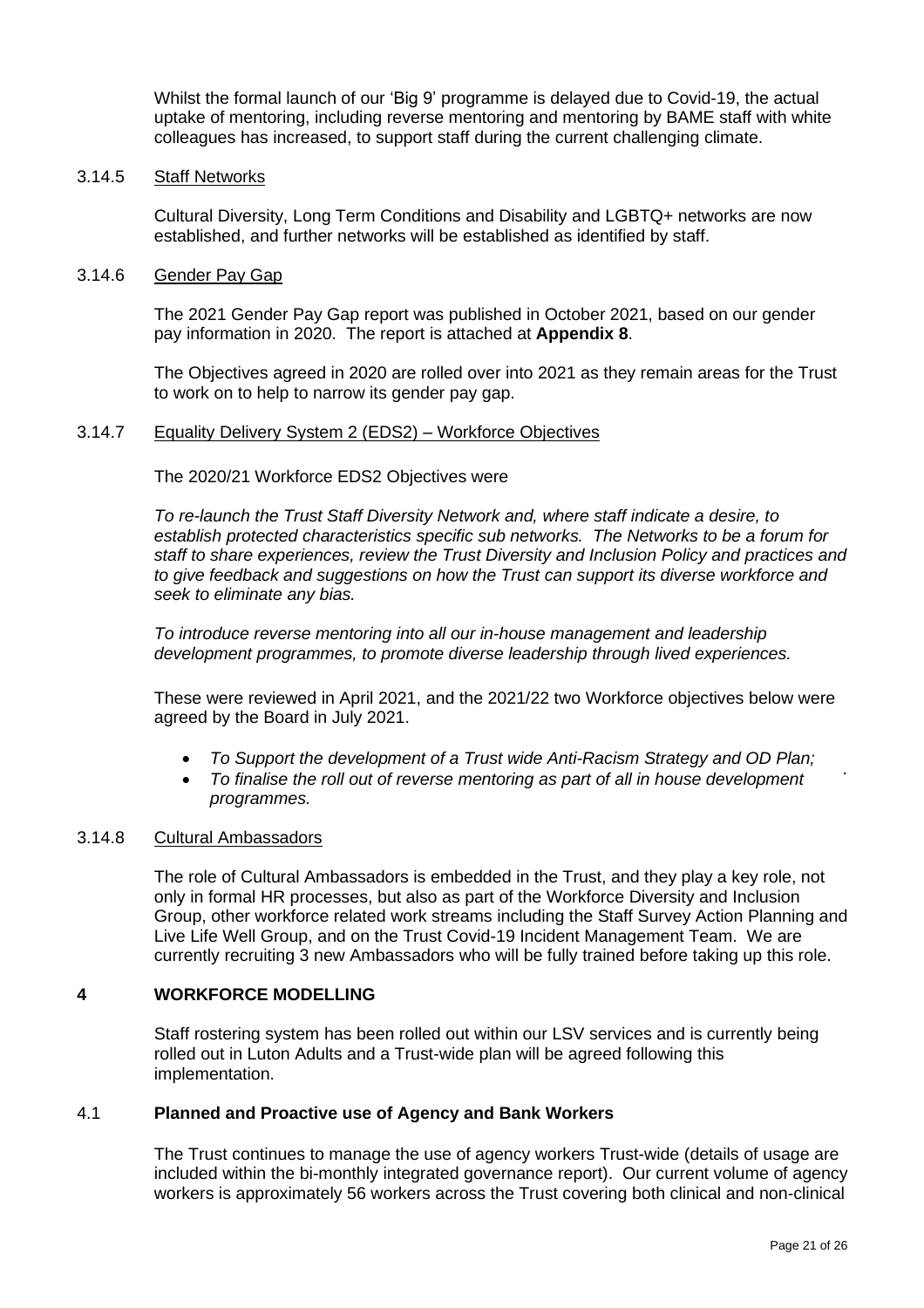Whilst the formal launch of our 'Big 9' programme is delayed due to Covid-19, the actual uptake of mentoring, including reverse mentoring and mentoring by BAME staff with white colleagues has increased, to support staff during the current challenging climate.

#### 3.14.5 Staff Networks

Cultural Diversity, Long Term Conditions and Disability and LGBTQ+ networks are now established, and further networks will be established as identified by staff.

#### 3.14.6 Gender Pay Gap

The 2021 Gender Pay Gap report was published in October 2021, based on our gender pay information in 2020. The report is attached at **Appendix 8**.

The Objectives agreed in 2020 are rolled over into 2021 as they remain areas for the Trust to work on to help to narrow its gender pay gap.

#### 3.14.7 Equality Delivery System 2 (EDS2) – Workforce Objectives

The 2020/21 Workforce EDS2 Objectives were

*To re-launch the Trust Staff Diversity Network and, where staff indicate a desire, to establish protected characteristics specific sub networks. The Networks to be a forum for staff to share experiences, review the Trust Diversity and Inclusion Policy and practices and to give feedback and suggestions on how the Trust can support its diverse workforce and seek to eliminate any bias.*

*To introduce reverse mentoring into all our in-house management and leadership development programmes, to promote diverse leadership through lived experiences.*

These were reviewed in April 2021, and the 2021/22 two Workforce objectives below were agreed by the Board in July 2021.

- *To Support the development of a Trust wide Anti-Racism Strategy and OD Plan;*
- *To finalise the roll out of reverse mentoring as part of all in house development programmes.*

#### 3.14.8 Cultural Ambassadors

The role of Cultural Ambassadors is embedded in the Trust, and they play a key role, not only in formal HR processes, but also as part of the Workforce Diversity and Inclusion Group, other workforce related work streams including the Staff Survey Action Planning and Live Life Well Group, and on the Trust Covid-19 Incident Management Team. We are currently recruiting 3 new Ambassadors who will be fully trained before taking up this role.

### **4 WORKFORCE MODELLING**

Staff rostering system has been rolled out within our LSV services and is currently being rolled out in Luton Adults and a Trust-wide plan will be agreed following this implementation.

#### 4.1 **Planned and Proactive use of Agency and Bank Workers**

The Trust continues to manage the use of agency workers Trust-wide (details of usage are included within the bi-monthly integrated governance report). Our current volume of agency workers is approximately 56 workers across the Trust covering both clinical and non-clinical

.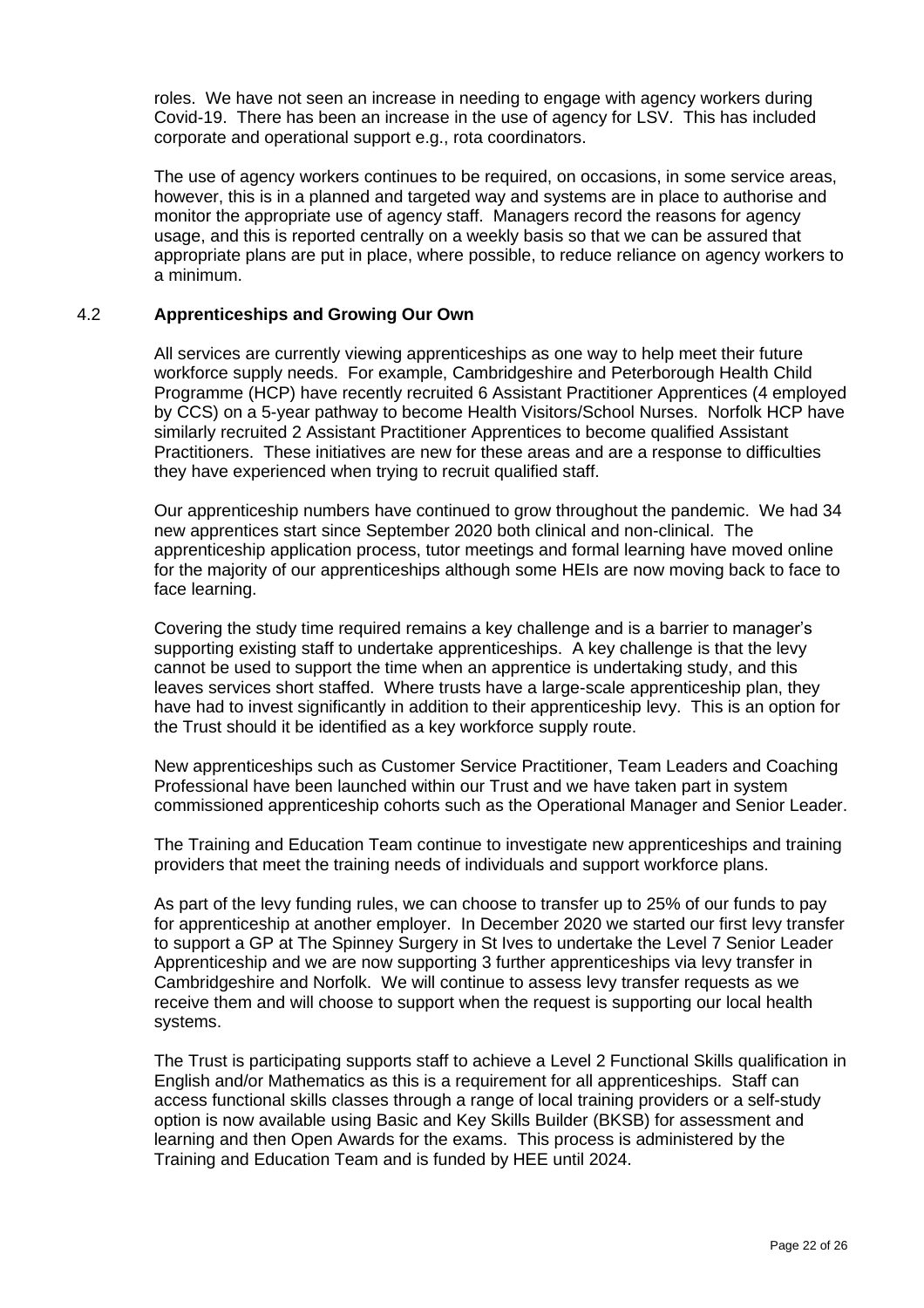roles. We have not seen an increase in needing to engage with agency workers during Covid-19. There has been an increase in the use of agency for LSV. This has included corporate and operational support e.g., rota coordinators.

The use of agency workers continues to be required, on occasions, in some service areas, however, this is in a planned and targeted way and systems are in place to authorise and monitor the appropriate use of agency staff. Managers record the reasons for agency usage, and this is reported centrally on a weekly basis so that we can be assured that appropriate plans are put in place, where possible, to reduce reliance on agency workers to a minimum.

### 4.2 **Apprenticeships and Growing Our Own**

All services are currently viewing apprenticeships as one way to help meet their future workforce supply needs. For example, Cambridgeshire and Peterborough Health Child Programme (HCP) have recently recruited 6 Assistant Practitioner Apprentices (4 employed by CCS) on a 5-year pathway to become Health Visitors/School Nurses. Norfolk HCP have similarly recruited 2 Assistant Practitioner Apprentices to become qualified Assistant Practitioners. These initiatives are new for these areas and are a response to difficulties they have experienced when trying to recruit qualified staff.

Our apprenticeship numbers have continued to grow throughout the pandemic. We had 34 new apprentices start since September 2020 both clinical and non-clinical. The apprenticeship application process, tutor meetings and formal learning have moved online for the majority of our apprenticeships although some HEIs are now moving back to face to face learning.

Covering the study time required remains a key challenge and is a barrier to manager's supporting existing staff to undertake apprenticeships. A key challenge is that the levy cannot be used to support the time when an apprentice is undertaking study, and this leaves services short staffed. Where trusts have a large-scale apprenticeship plan, they have had to invest significantly in addition to their apprenticeship levy. This is an option for the Trust should it be identified as a key workforce supply route.

New apprenticeships such as Customer Service Practitioner, Team Leaders and Coaching Professional have been launched within our Trust and we have taken part in system commissioned apprenticeship cohorts such as the Operational Manager and Senior Leader.

The Training and Education Team continue to investigate new apprenticeships and training providers that meet the training needs of individuals and support workforce plans.

As part of the levy funding rules, we can choose to transfer up to 25% of our funds to pay for apprenticeship at another employer. In December 2020 we started our first levy transfer to support a GP at The Spinney Surgery in St Ives to undertake the Level 7 Senior Leader Apprenticeship and we are now supporting 3 further apprenticeships via levy transfer in Cambridgeshire and Norfolk. We will continue to assess levy transfer requests as we receive them and will choose to support when the request is supporting our local health systems.

The Trust is participating supports staff to achieve a Level 2 Functional Skills qualification in English and/or Mathematics as this is a requirement for all apprenticeships. Staff can access functional skills classes through a range of local training providers or a self-study option is now available using Basic and Key Skills Builder (BKSB) for assessment and learning and then Open Awards for the exams. This process is administered by the Training and Education Team and is funded by HEE until 2024.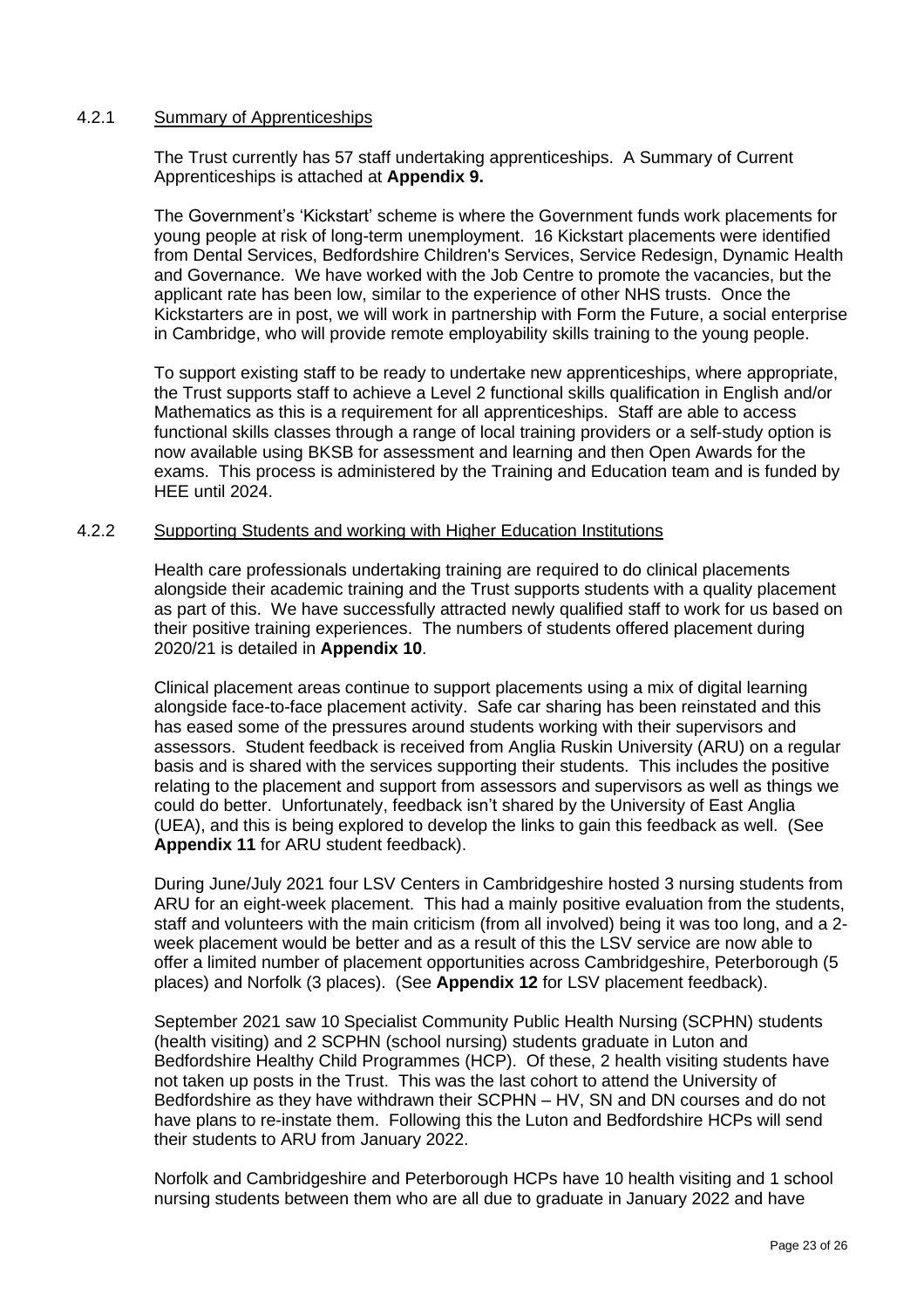### 4.2.1 Summary of Apprenticeships

The Trust currently has 57 staff undertaking apprenticeships. A Summary of Current Apprenticeships is attached at **Appendix 9.**

The Government's 'Kickstart' scheme is where the Government funds work placements for young people at risk of long-term unemployment. 16 Kickstart placements were identified from Dental Services, Bedfordshire Children's Services, Service Redesign, Dynamic Health and Governance. We have worked with the Job Centre to promote the vacancies, but the applicant rate has been low, similar to the experience of other NHS trusts. Once the Kickstarters are in post, we will work in partnership with Form the Future, a social enterprise in Cambridge, who will provide remote employability skills training to the young people.

To support existing staff to be ready to undertake new apprenticeships, where appropriate, the Trust supports staff to achieve a Level 2 functional skills qualification in English and/or Mathematics as this is a requirement for all apprenticeships. Staff are able to access functional skills classes through a range of local training providers or a self-study option is now available using BKSB for assessment and learning and then Open Awards for the exams. This process is administered by the Training and Education team and is funded by HEE until 2024.

#### 4.2.2 Supporting Students and working with Higher Education Institutions

Health care professionals undertaking training are required to do clinical placements alongside their academic training and the Trust supports students with a quality placement as part of this. We have successfully attracted newly qualified staff to work for us based on their positive training experiences. The numbers of students offered placement during 2020/21 is detailed in **Appendix 10**.

Clinical placement areas continue to support placements using a mix of digital learning alongside face-to-face placement activity. Safe car sharing has been reinstated and this has eased some of the pressures around students working with their supervisors and assessors. Student feedback is received from Anglia Ruskin University (ARU) on a regular basis and is shared with the services supporting their students. This includes the positive relating to the placement and support from assessors and supervisors as well as things we could do better. Unfortunately, feedback isn't shared by the University of East Anglia (UEA), and this is being explored to develop the links to gain this feedback as well. (See **Appendix 11** for ARU student feedback).

During June/July 2021 four LSV Centers in Cambridgeshire hosted 3 nursing students from ARU for an eight-week placement. This had a mainly positive evaluation from the students, staff and volunteers with the main criticism (from all involved) being it was too long, and a 2 week placement would be better and as a result of this the LSV service are now able to offer a limited number of placement opportunities across Cambridgeshire, Peterborough (5 places) and Norfolk (3 places). (See **Appendix 12** for LSV placement feedback).

September 2021 saw 10 Specialist Community Public Health Nursing (SCPHN) students (health visiting) and 2 SCPHN (school nursing) students graduate in Luton and Bedfordshire Healthy Child Programmes (HCP). Of these, 2 health visiting students have not taken up posts in the Trust. This was the last cohort to attend the University of Bedfordshire as they have withdrawn their SCPHN – HV, SN and DN courses and do not have plans to re-instate them. Following this the Luton and Bedfordshire HCPs will send their students to ARU from January 2022.

Norfolk and Cambridgeshire and Peterborough HCPs have 10 health visiting and 1 school nursing students between them who are all due to graduate in January 2022 and have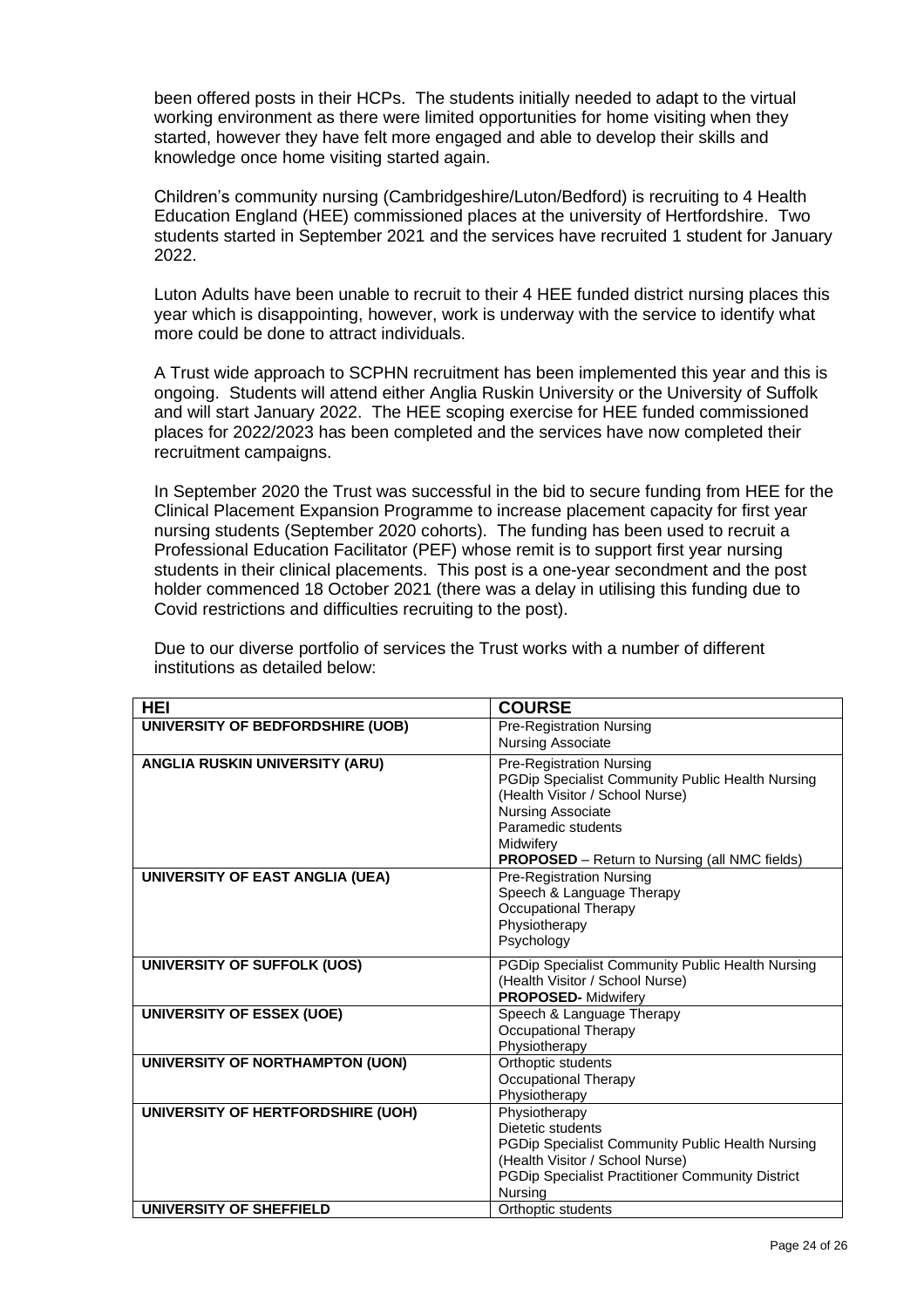been offered posts in their HCPs. The students initially needed to adapt to the virtual working environment as there were limited opportunities for home visiting when they started, however they have felt more engaged and able to develop their skills and knowledge once home visiting started again.

Children's community nursing (Cambridgeshire/Luton/Bedford) is recruiting to 4 Health Education England (HEE) commissioned places at the university of Hertfordshire. Two students started in September 2021 and the services have recruited 1 student for January 2022.

Luton Adults have been unable to recruit to their 4 HEE funded district nursing places this year which is disappointing, however, work is underway with the service to identify what more could be done to attract individuals.

A Trust wide approach to SCPHN recruitment has been implemented this year and this is ongoing. Students will attend either Anglia Ruskin University or the University of Suffolk and will start January 2022. The HEE scoping exercise for HEE funded commissioned places for 2022/2023 has been completed and the services have now completed their recruitment campaigns.

In September 2020 the Trust was successful in the bid to secure funding from HEE for the Clinical Placement Expansion Programme to increase placement capacity for first year nursing students (September 2020 cohorts). The funding has been used to recruit a Professional Education Facilitator (PEF) whose remit is to support first year nursing students in their clinical placements. This post is a one-year secondment and the post holder commenced 18 October 2021 (there was a delay in utilising this funding due to Covid restrictions and difficulties recruiting to the post).

| HEI                                   | <b>COURSE</b>                                           |
|---------------------------------------|---------------------------------------------------------|
| UNIVERSITY OF BEDFORDSHIRE (UOB)      | <b>Pre-Registration Nursing</b>                         |
|                                       | <b>Nursing Associate</b>                                |
| <b>ANGLIA RUSKIN UNIVERSITY (ARU)</b> | <b>Pre-Registration Nursing</b>                         |
|                                       | PGDip Specialist Community Public Health Nursing        |
|                                       | (Health Visitor / School Nurse)                         |
|                                       | Nursing Associate                                       |
|                                       | Paramedic students                                      |
|                                       | Midwifery                                               |
|                                       | <b>PROPOSED</b> - Return to Nursing (all NMC fields)    |
| UNIVERSITY OF EAST ANGLIA (UEA)       | <b>Pre-Registration Nursing</b>                         |
|                                       | Speech & Language Therapy                               |
|                                       | Occupational Therapy                                    |
|                                       | Physiotherapy                                           |
|                                       | Psychology                                              |
| UNIVERSITY OF SUFFOLK (UOS)           | PGDip Specialist Community Public Health Nursing        |
|                                       | (Health Visitor / School Nurse)                         |
|                                       | PROPOSED- Midwifery                                     |
| <b>UNIVERSITY OF ESSEX (UOE)</b>      | Speech & Language Therapy                               |
|                                       | Occupational Therapy                                    |
|                                       | Physiotherapy                                           |
| UNIVERSITY OF NORTHAMPTON (UON)       | Orthoptic students                                      |
|                                       | Occupational Therapy                                    |
|                                       | Physiotherapy                                           |
| UNIVERSITY OF HERTFORDSHIRE (UOH)     | Physiotherapy                                           |
|                                       | Dietetic students                                       |
|                                       | <b>PGDip Specialist Community Public Health Nursing</b> |
|                                       | (Health Visitor / School Nurse)                         |
|                                       | <b>PGDip Specialist Practitioner Community District</b> |
|                                       | Nursing                                                 |
| UNIVERSITY OF SHEFFIELD               | Orthoptic students                                      |

Due to our diverse portfolio of services the Trust works with a number of different institutions as detailed below: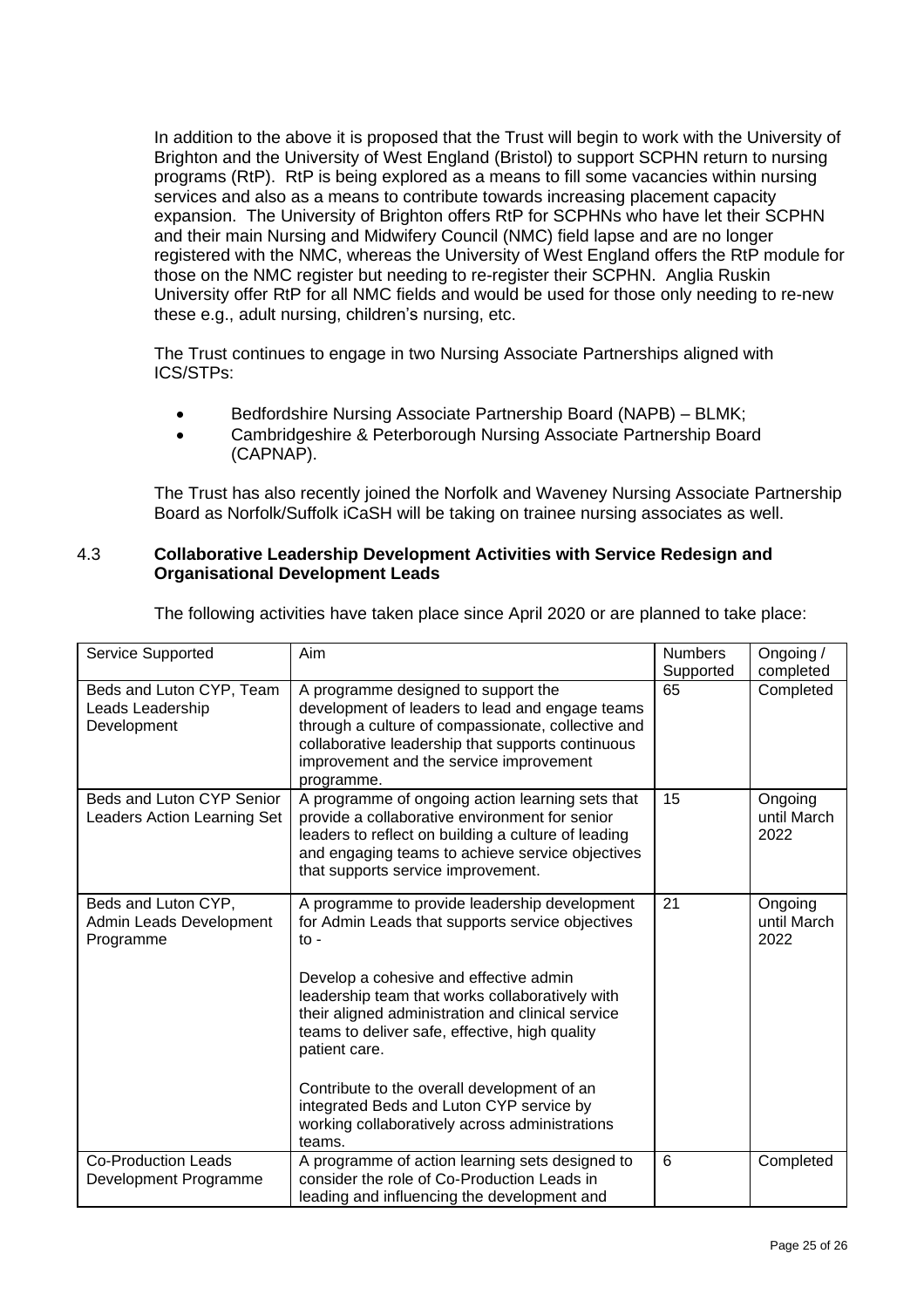In addition to the above it is proposed that the Trust will begin to work with the University of Brighton and the University of West England (Bristol) to support SCPHN return to nursing programs (RtP). RtP is being explored as a means to fill some vacancies within nursing services and also as a means to contribute towards increasing placement capacity expansion. The University of Brighton offers RtP for SCPHNs who have let their SCPHN and their main Nursing and Midwifery Council (NMC) field lapse and are no longer registered with the NMC, whereas the University of West England offers the RtP module for those on the NMC register but needing to re-register their SCPHN. Anglia Ruskin University offer RtP for all NMC fields and would be used for those only needing to re-new these e.g., adult nursing, children's nursing, etc.

The Trust continues to engage in two Nursing Associate Partnerships aligned with ICS/STPs:

- Bedfordshire Nursing Associate Partnership Board (NAPB) BLMK;
- Cambridgeshire & Peterborough Nursing Associate Partnership Board (CAPNAP).

The Trust has also recently joined the Norfolk and Waveney Nursing Associate Partnership Board as Norfolk/Suffolk iCaSH will be taking on trainee nursing associates as well.

### 4.3 **Collaborative Leadership Development Activities with Service Redesign and Organisational Development Leads**

|  | The following activities have taken place since April 2020 or are planned to take place: |
|--|------------------------------------------------------------------------------------------|
|  |                                                                                          |

| Service Supported                                           | Aim                                                                                                                                                                                                                                                        | <b>Numbers</b><br>Supported | Ongoing /<br>completed         |
|-------------------------------------------------------------|------------------------------------------------------------------------------------------------------------------------------------------------------------------------------------------------------------------------------------------------------------|-----------------------------|--------------------------------|
| Beds and Luton CYP, Team<br>Leads Leadership<br>Development | A programme designed to support the<br>development of leaders to lead and engage teams<br>through a culture of compassionate, collective and<br>collaborative leadership that supports continuous<br>improvement and the service improvement<br>programme. | 65                          | Completed                      |
| Beds and Luton CYP Senior<br>Leaders Action Learning Set    | A programme of ongoing action learning sets that<br>provide a collaborative environment for senior<br>leaders to reflect on building a culture of leading<br>and engaging teams to achieve service objectives<br>that supports service improvement.        | 15                          | Ongoing<br>until March<br>2022 |
| Beds and Luton CYP,<br>Admin Leads Development<br>Programme | A programme to provide leadership development<br>for Admin Leads that supports service objectives<br>$\mathsf{to}$ -                                                                                                                                       | 21                          | Ongoing<br>until March<br>2022 |
|                                                             | Develop a cohesive and effective admin<br>leadership team that works collaboratively with<br>their aligned administration and clinical service<br>teams to deliver safe, effective, high quality<br>patient care.                                          |                             |                                |
|                                                             | Contribute to the overall development of an<br>integrated Beds and Luton CYP service by<br>working collaboratively across administrations<br>teams.                                                                                                        |                             |                                |
| <b>Co-Production Leads</b><br>Development Programme         | A programme of action learning sets designed to<br>consider the role of Co-Production Leads in<br>leading and influencing the development and                                                                                                              | 6                           | Completed                      |